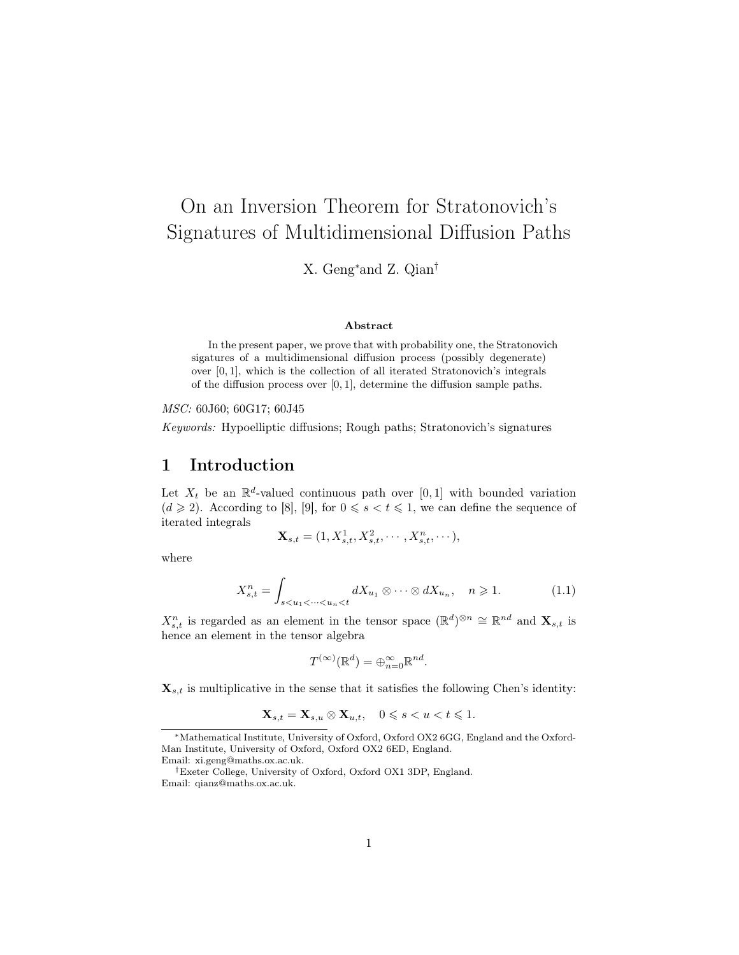# On an Inversion Theorem for Stratonovich's Signatures of Multidimensional Diffusion Paths

X. Geng<sup>∗</sup>and Z. Qian†

#### Abstract

In the present paper, we prove that with probability one, the Stratonovich sigatures of a multidimensional diffusion process (possibly degenerate) over [0, 1], which is the collection of all iterated Stratonovich's integrals of the diffusion process over [0, 1], determine the diffusion sample paths.

MSC: 60J60; 60G17; 60J45

Keywords: Hypoelliptic diffusions; Rough paths; Stratonovich's signatures

## 1 Introduction

Let  $X_t$  be an  $\mathbb{R}^d$ -valued continuous path over [0, 1] with bounded variation  $(d \geq 2)$ . According to [8], [9], for  $0 \leq s < t \leq 1$ , we can define the sequence of iterated integrals

$$
\mathbf{X}_{s,t} = (1, X_{s,t}^1, X_{s,t}^2, \cdots, X_{s,t}^n, \cdots),
$$

where

$$
X_{s,t}^n = \int_{s < u_1 < \dots < u_n < t} dX_{u_1} \otimes \dots \otimes dX_{u_n}, \quad n \geqslant 1. \tag{1.1}
$$

 $X_{s,t}^n$  is regarded as an element in the tensor space  $(\mathbb{R}^d)^{\otimes n} \cong \mathbb{R}^{nd}$  and  $\mathbf{X}_{s,t}$  is hence an element in the tensor algebra

$$
T^{(\infty)}(\mathbb{R}^d) = \bigoplus_{n=0}^{\infty} \mathbb{R}^{nd}.
$$

 $\mathbf{X}_{s,t}$  is multiplicative in the sense that it satisfies the following Chen's identity:

$$
\mathbf{X}_{s,t} = \mathbf{X}_{s,u} \otimes \mathbf{X}_{u,t}, \quad 0 \leqslant s < u < t \leqslant 1.
$$

<sup>∗</sup>Mathematical Institute, University of Oxford, Oxford OX2 6GG, England and the Oxford-Man Institute, University of Oxford, Oxford OX2 6ED, England. Email: xi.geng@maths.ox.ac.uk.

<sup>†</sup>Exeter College, University of Oxford, Oxford OX1 3DP, England. Email: qianz@maths.ox.ac.uk.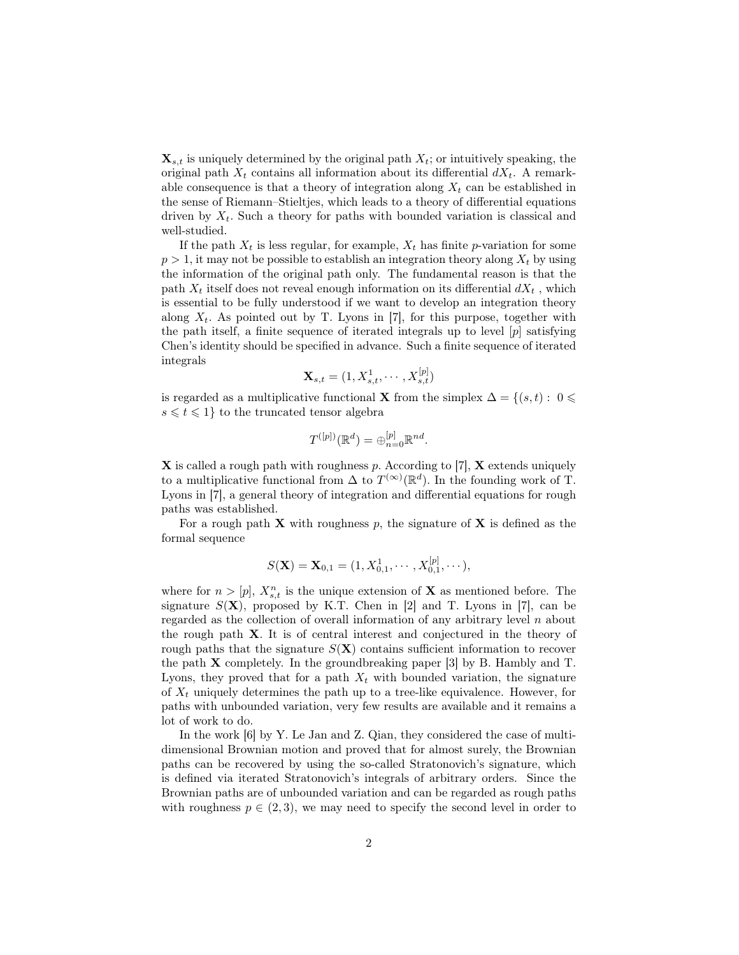$\mathbf{X}_{s,t}$  is uniquely determined by the original path  $X_t$ ; or intuitively speaking, the original path  $X_t$  contains all information about its differential  $dX_t$ . A remarkable consequence is that a theory of integration along  $X_t$  can be established in the sense of Riemann–Stieltjes, which leads to a theory of differential equations driven by  $X_t$ . Such a theory for paths with bounded variation is classical and well-studied.

If the path  $X_t$  is less regular, for example,  $X_t$  has finite p-variation for some  $p > 1$ , it may not be possible to establish an integration theory along  $X_t$  by using the information of the original path only. The fundamental reason is that the path  $X_t$  itself does not reveal enough information on its differential  $dX_t$ , which is essential to be fully understood if we want to develop an integration theory along  $X_t$ . As pointed out by T. Lyons in [7], for this purpose, together with the path itself, a finite sequence of iterated integrals up to level [p] satisfying Chen's identity should be specified in advance. Such a finite sequence of iterated integrals

$$
\mathbf{X}_{s,t}=(1,X_{s,t}^1,\cdots,X_{s,t}^{[p]})
$$

is regarded as a multiplicative functional **X** from the simplex  $\Delta = \{(s, t): 0 \leq$  $s \leq t \leq 1$  to the truncated tensor algebra

$$
T^{([p])}(\mathbb{R}^d) = \bigoplus_{n=0}^{[p]} \mathbb{R}^{nd}.
$$

 $X$  is called a rough path with roughness p. According to [7],  $X$  extends uniquely to a multiplicative functional from  $\Delta$  to  $T^{(\infty)}(\mathbb{R}^d)$ . In the founding work of T. Lyons in [7], a general theory of integration and differential equations for rough paths was established.

For a rough path  $X$  with roughness p, the signature of  $X$  is defined as the formal sequence

$$
S(\mathbf{X}) = \mathbf{X}_{0,1} = (1, X_{0,1}^1, \cdots, X_{0,1}^{[p]}, \cdots),
$$

where for  $n > [p]$ ,  $X_{s,t}^n$  is the unique extension of **X** as mentioned before. The signature  $S(X)$ , proposed by K.T. Chen in [2] and T. Lyons in [7], can be regarded as the collection of overall information of any arbitrary level  $n$  about the rough path X. It is of central interest and conjectured in the theory of rough paths that the signature  $S(X)$  contains sufficient information to recover the path X completely. In the groundbreaking paper [3] by B. Hambly and T. Lyons, they proved that for a path  $X_t$  with bounded variation, the signature of  $X_t$  uniquely determines the path up to a tree-like equivalence. However, for paths with unbounded variation, very few results are available and it remains a lot of work to do.

In the work [6] by Y. Le Jan and Z. Qian, they considered the case of multidimensional Brownian motion and proved that for almost surely, the Brownian paths can be recovered by using the so-called Stratonovich's signature, which is defined via iterated Stratonovich's integrals of arbitrary orders. Since the Brownian paths are of unbounded variation and can be regarded as rough paths with roughness  $p \in (2,3)$ , we may need to specify the second level in order to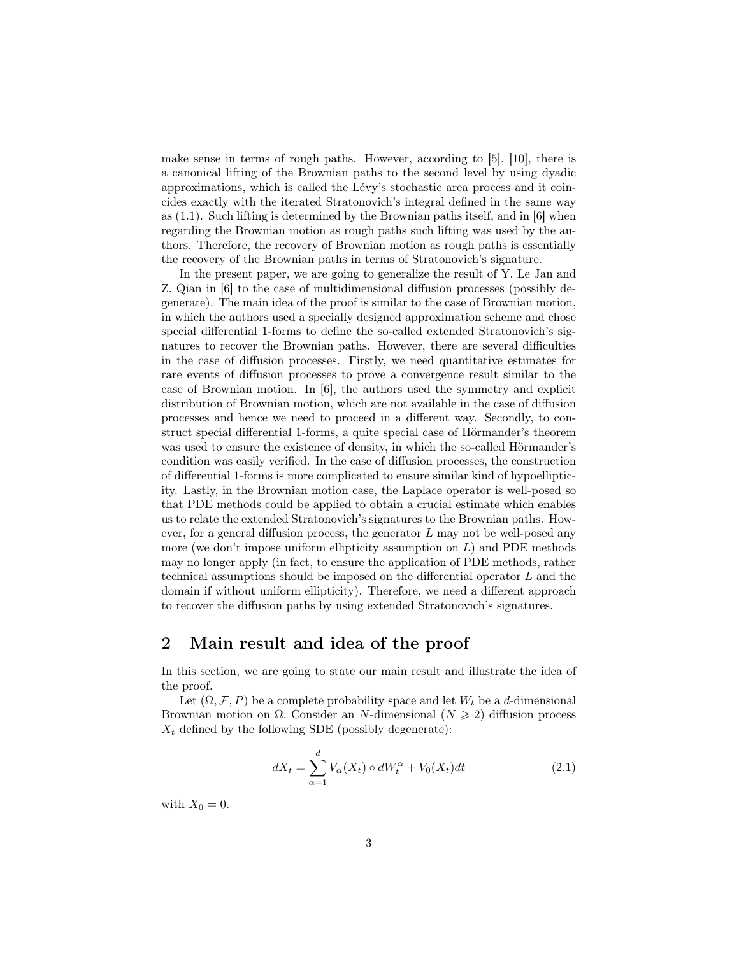make sense in terms of rough paths. However, according to [5], [10], there is a canonical lifting of the Brownian paths to the second level by using dyadic approximations, which is called the Lévy's stochastic area process and it coincides exactly with the iterated Stratonovich's integral defined in the same way as (1.1). Such lifting is determined by the Brownian paths itself, and in [6] when regarding the Brownian motion as rough paths such lifting was used by the authors. Therefore, the recovery of Brownian motion as rough paths is essentially the recovery of the Brownian paths in terms of Stratonovich's signature.

In the present paper, we are going to generalize the result of Y. Le Jan and Z. Qian in [6] to the case of multidimensional diffusion processes (possibly degenerate). The main idea of the proof is similar to the case of Brownian motion, in which the authors used a specially designed approximation scheme and chose special differential 1-forms to define the so-called extended Stratonovich's signatures to recover the Brownian paths. However, there are several difficulties in the case of diffusion processes. Firstly, we need quantitative estimates for rare events of diffusion processes to prove a convergence result similar to the case of Brownian motion. In [6], the authors used the symmetry and explicit distribution of Brownian motion, which are not available in the case of diffusion processes and hence we need to proceed in a different way. Secondly, to construct special differential 1-forms, a quite special case of Hörmander's theorem was used to ensure the existence of density, in which the so-called Hörmander's condition was easily verified. In the case of diffusion processes, the construction of differential 1-forms is more complicated to ensure similar kind of hypoellipticity. Lastly, in the Brownian motion case, the Laplace operator is well-posed so that PDE methods could be applied to obtain a crucial estimate which enables us to relate the extended Stratonovich's signatures to the Brownian paths. However, for a general diffusion process, the generator  $L$  may not be well-posed any more (we don't impose uniform ellipticity assumption on  $L$ ) and PDE methods may no longer apply (in fact, to ensure the application of PDE methods, rather technical assumptions should be imposed on the differential operator L and the domain if without uniform ellipticity). Therefore, we need a different approach to recover the diffusion paths by using extended Stratonovich's signatures.

## 2 Main result and idea of the proof

In this section, we are going to state our main result and illustrate the idea of the proof.

Let  $(\Omega, \mathcal{F}, P)$  be a complete probability space and let  $W_t$  be a d-dimensional Brownian motion on  $\Omega$ . Consider an N-dimensional  $(N \geq 2)$  diffusion process  $X_t$  defined by the following SDE (possibly degenerate):

$$
dX_t = \sum_{\alpha=1}^d V_{\alpha}(X_t) \circ dW_t^{\alpha} + V_0(X_t)dt
$$
\n(2.1)

with  $X_0 = 0$ .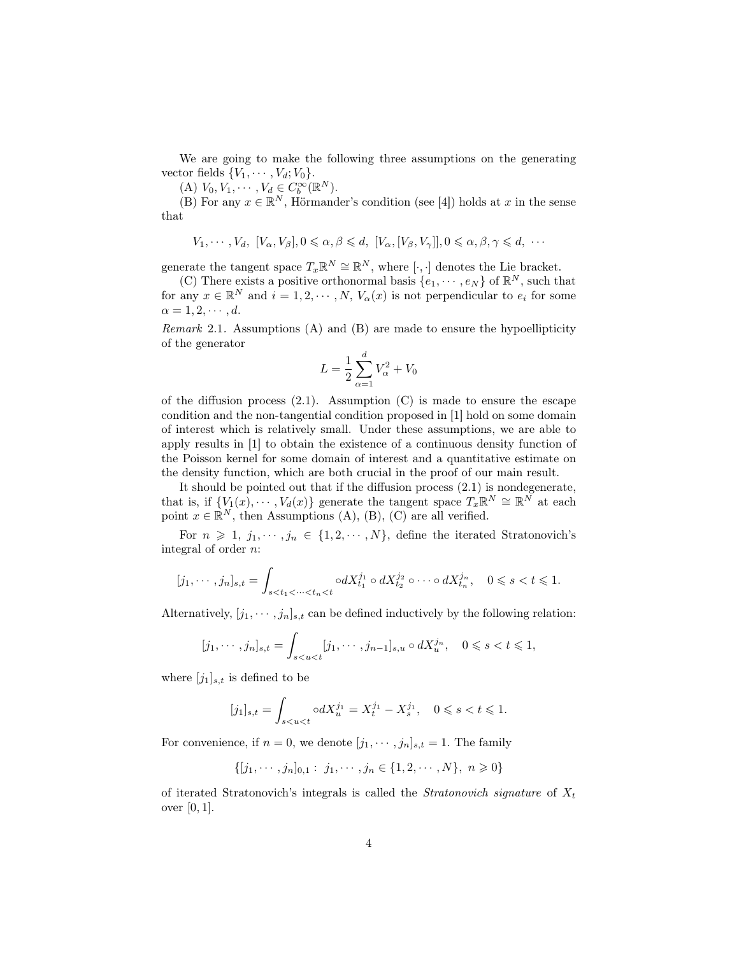We are going to make the following three assumptions on the generating vector fields  $\{V_1, \cdots, V_d; V_0\}.$ 

(A)  $V_0, V_1, \cdots, V_d \in C_b^{\infty}(\mathbb{R}^N)$ .

(B) For any  $x \in \mathbb{R}^N$ , Hörmander's condition (see [4]) holds at x in the sense that

$$
V_1, \cdots, V_d, [V_\alpha, V_\beta], 0 \leq \alpha, \beta \leq d, [V_\alpha, [V_\beta, V_\gamma]], 0 \leq \alpha, \beta, \gamma \leq d, \cdots]
$$

generate the tangent space  $T_x \mathbb{R}^N \cong \mathbb{R}^N$ , where  $[\cdot, \cdot]$  denotes the Lie bracket.

(C) There exists a positive orthonormal basis  $\{e_1, \dots, e_N\}$  of  $\mathbb{R}^N$ , such that for any  $x \in \mathbb{R}^N$  and  $i = 1, 2, \cdots, N$ ,  $V_\alpha(x)$  is not perpendicular to  $e_i$  for some  $\alpha = 1, 2, \cdots, d$ .

Remark 2.1. Assumptions (A) and (B) are made to ensure the hypoellipticity of the generator

$$
L = \frac{1}{2} \sum_{\alpha=1}^{d} V_{\alpha}^{2} + V_{0}
$$

of the diffusion process  $(2.1)$ . Assumption  $(C)$  is made to ensure the escape condition and the non-tangential condition proposed in [1] hold on some domain of interest which is relatively small. Under these assumptions, we are able to apply results in [1] to obtain the existence of a continuous density function of the Poisson kernel for some domain of interest and a quantitative estimate on the density function, which are both crucial in the proof of our main result.

It should be pointed out that if the diffusion process (2.1) is nondegenerate, that is, if  $\{V_1(x), \cdots, V_d(x)\}\$  generate the tangent space  $T_x \mathbb{R}^N \cong \mathbb{R}^N$  at each point  $x \in \mathbb{R}^N$ , then Assumptions (A), (B), (C) are all verified.

For  $n \geq 1, j_1, \dots, j_n \in \{1, 2, \dots, N\}$ , define the iterated Stratonovich's integral of order n:

$$
[j_1, \cdots, j_n]_{s,t} = \int_{s < t_1 < \cdots < t_n < t} \circ dX_{t_1}^{j_1} \circ dX_{t_2}^{j_2} \circ \cdots \circ dX_{t_n}^{j_n}, \quad 0 \le s < t \le 1.
$$

Alternatively,  $[j_1, \dots, j_n]_{s,t}$  can be defined inductively by the following relation:

$$
[j_1, \dots, j_n]_{s,t} = \int_{s < u < t} [j_1, \dots, j_{n-1}]_{s,u} \circ dX_u^{j_n}, \quad 0 \le s < t \le 1,
$$

where  $[j_1]_{s,t}$  is defined to be

$$
[j_1]_{s,t} = \int_{s < u < t} \circ dX_u^{j_1} = X_t^{j_1} - X_s^{j_1}, \quad 0 \le s < t \le 1.
$$

For convenience, if  $n = 0$ , we denote  $[j_1, \dots, j_n]_{s,t} = 1$ . The family

 $\{[j_1, \dots, j_n]_{0,1} : j_1, \dots, j_n \in \{1, 2, \dots, N\}, n \geq 0\}$ 

of iterated Stratonovich's integrals is called the *Stratonovich signature* of  $X_t$ over [0, 1].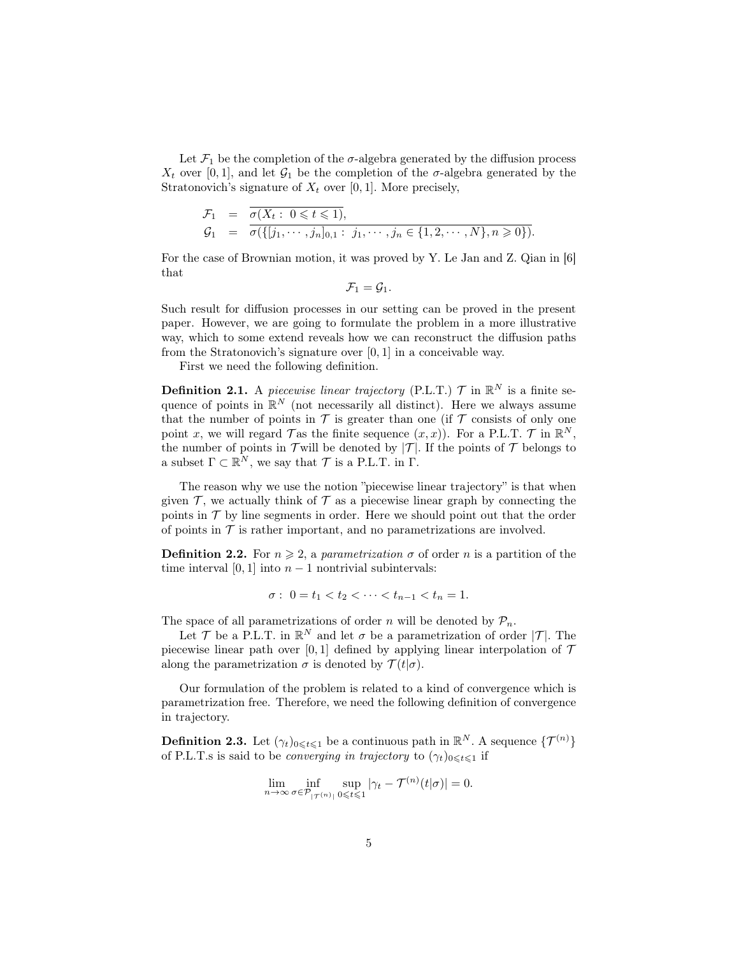Let  $\mathcal{F}_1$  be the completion of the  $\sigma$ -algebra generated by the diffusion process  $X_t$  over [0, 1], and let  $G_1$  be the completion of the  $\sigma$ -algebra generated by the Stratonovich's signature of  $X_t$  over [0, 1]. More precisely,

$$
\mathcal{F}_1 = \overline{\sigma(X_t: 0 \leq t \leq 1)},
$$
\n
$$
\mathcal{G}_1 = \overline{\sigma(\{[j_1, \cdots, j_n]_{0,1} : j_1, \cdots, j_n \in \{1, 2, \cdots, N\}, n \geq 0\})}.
$$

For the case of Brownian motion, it was proved by Y. Le Jan and Z. Qian in [6] that

 $\mathcal{F}_1 = \mathcal{G}_1.$ 

Such result for diffusion processes in our setting can be proved in the present paper. However, we are going to formulate the problem in a more illustrative way, which to some extend reveals how we can reconstruct the diffusion paths from the Stratonovich's signature over [0, 1] in a conceivable way.

First we need the following definition.

**Definition 2.1.** A piecewise linear trajectory (P.L.T.)  $\mathcal{T}$  in  $\mathbb{R}^N$  is a finite sequence of points in  $\mathbb{R}^N$  (not necessarily all distinct). Here we always assume that the number of points in  $\mathcal T$  is greater than one (if  $\mathcal T$  consists of only one point x, we will regard  $\mathcal{T}$  as the finite sequence  $(x, x)$ ). For a P.L.T.  $\mathcal{T}$  in  $\mathbb{R}^N$ , the number of points in  $\mathcal T$  will be denoted by  $|\mathcal T|$ . If the points of  $\mathcal T$  belongs to a subset  $\Gamma \subset \mathbb{R}^N$ , we say that  $\mathcal T$  is a P.L.T. in  $\Gamma$ .

The reason why we use the notion "piecewise linear trajectory" is that when given  $\mathcal T$ , we actually think of  $\mathcal T$  as a piecewise linear graph by connecting the points in  $\mathcal T$  by line segments in order. Here we should point out that the order of points in  $\mathcal T$  is rather important, and no parametrizations are involved.

**Definition 2.2.** For  $n \ge 2$ , a parametrization  $\sigma$  of order n is a partition of the time interval [0, 1] into  $n-1$  nontrivial subintervals:

$$
\sigma: \ 0 = t_1 < t_2 < \cdots < t_{n-1} < t_n = 1.
$$

The space of all parametrizations of order n will be denoted by  $P_n$ .

Let  $\mathcal T$  be a P.L.T. in  $\mathbb R^N$  and let  $\sigma$  be a parametrization of order  $|\mathcal T|$ . The piecewise linear path over [0, 1] defined by applying linear interpolation of  $\mathcal T$ along the parametrization  $\sigma$  is denoted by  $\mathcal{T}(t|\sigma)$ .

Our formulation of the problem is related to a kind of convergence which is parametrization free. Therefore, we need the following definition of convergence in trajectory.

**Definition 2.3.** Let  $(\gamma_t)_{0 \leqslant t \leqslant 1}$  be a continuous path in  $\mathbb{R}^N$ . A sequence  $\{\mathcal{T}^{(n)}\}$ of P.L.T.s is said to be *converging in trajectory* to  $(\gamma_t)_{0 \leq t \leq 1}$  if

$$
\lim_{n \to \infty} \inf_{\sigma \in \mathcal{P}_{|\mathcal{T}^{(n)}|}} \sup_{0 \le t \le 1} |\gamma_t - \mathcal{T}^{(n)}(t|\sigma)| = 0.
$$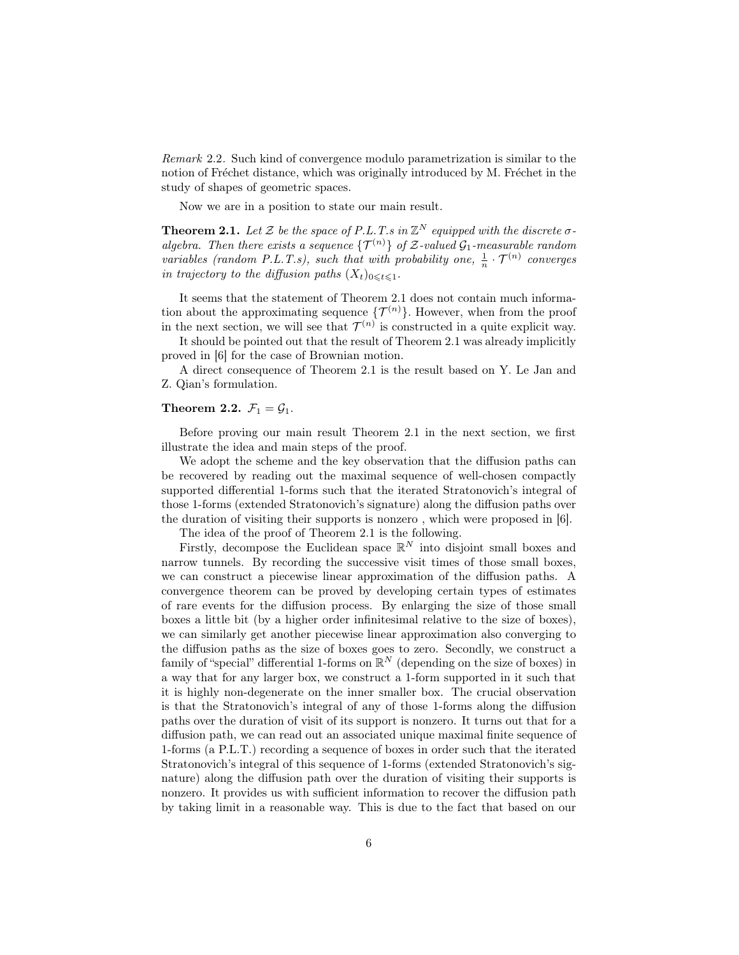Remark 2.2. Such kind of convergence modulo parametrization is similar to the notion of Fréchet distance, which was originally introduced by M. Fréchet in the study of shapes of geometric spaces.

Now we are in a position to state our main result.

**Theorem 2.1.** Let Z be the space of P.L.T.s in  $\mathbb{Z}^N$  equipped with the discrete  $\sigma$ algebra. Then there exists a sequence  $\{\mathcal{T}^{(n)}\}$  of  $\mathcal{Z}\text{-valued }\mathcal{G}_1\text{-}measurable random$ variables (random P.L.T.s), such that with probability one,  $\frac{1}{n} \cdot \mathcal{T}^{(n)}$  converges in trajectory to the diffusion paths  $(X_t)_{0 \leq t \leq 1}$ .

It seems that the statement of Theorem 2.1 does not contain much information about the approximating sequence  $\{\mathcal{T}^{(n)}\}$ . However, when from the proof in the next section, we will see that  $\mathcal{T}^{(n)}$  is constructed in a quite explicit way.

It should be pointed out that the result of Theorem 2.1 was already implicitly proved in [6] for the case of Brownian motion.

A direct consequence of Theorem 2.1 is the result based on Y. Le Jan and Z. Qian's formulation.

#### Theorem 2.2.  $\mathcal{F}_1 = \mathcal{G}_1$ .

Before proving our main result Theorem 2.1 in the next section, we first illustrate the idea and main steps of the proof.

We adopt the scheme and the key observation that the diffusion paths can be recovered by reading out the maximal sequence of well-chosen compactly supported differential 1-forms such that the iterated Stratonovich's integral of those 1-forms (extended Stratonovich's signature) along the diffusion paths over the duration of visiting their supports is nonzero , which were proposed in [6].

The idea of the proof of Theorem 2.1 is the following.

Firstly, decompose the Euclidean space  $\mathbb{R}^N$  into disjoint small boxes and narrow tunnels. By recording the successive visit times of those small boxes, we can construct a piecewise linear approximation of the diffusion paths. A convergence theorem can be proved by developing certain types of estimates of rare events for the diffusion process. By enlarging the size of those small boxes a little bit (by a higher order infinitesimal relative to the size of boxes), we can similarly get another piecewise linear approximation also converging to the diffusion paths as the size of boxes goes to zero. Secondly, we construct a family of "special" differential 1-forms on  $\mathbb{R}^N$  (depending on the size of boxes) in a way that for any larger box, we construct a 1-form supported in it such that it is highly non-degenerate on the inner smaller box. The crucial observation is that the Stratonovich's integral of any of those 1-forms along the diffusion paths over the duration of visit of its support is nonzero. It turns out that for a diffusion path, we can read out an associated unique maximal finite sequence of 1-forms (a P.L.T.) recording a sequence of boxes in order such that the iterated Stratonovich's integral of this sequence of 1-forms (extended Stratonovich's signature) along the diffusion path over the duration of visiting their supports is nonzero. It provides us with sufficient information to recover the diffusion path by taking limit in a reasonable way. This is due to the fact that based on our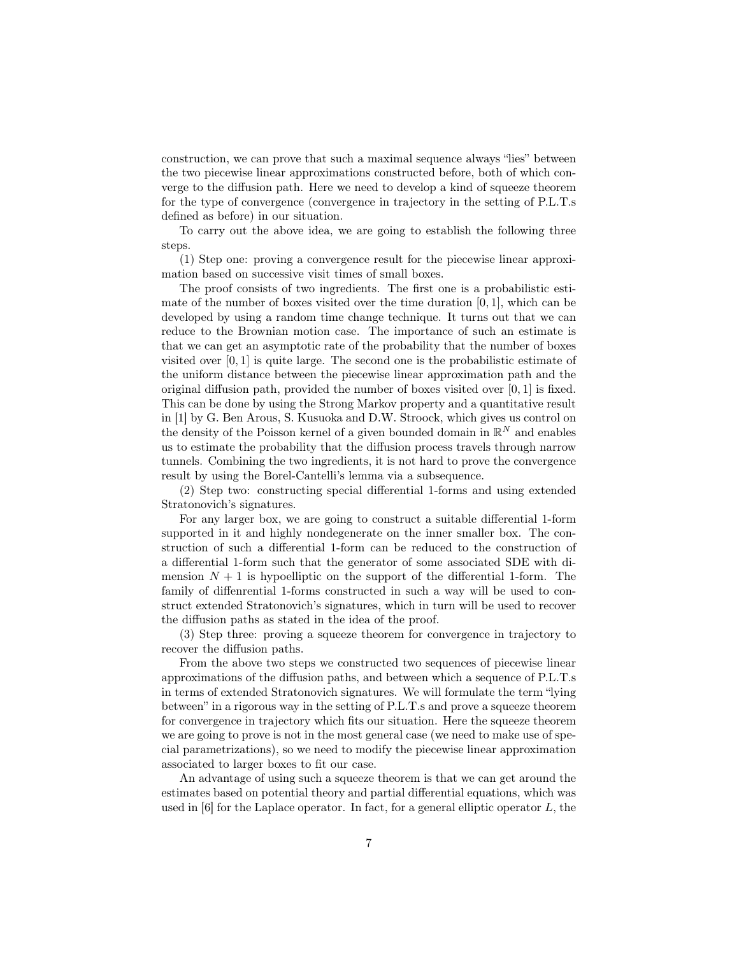construction, we can prove that such a maximal sequence always "lies" between the two piecewise linear approximations constructed before, both of which converge to the diffusion path. Here we need to develop a kind of squeeze theorem for the type of convergence (convergence in trajectory in the setting of P.L.T.s defined as before) in our situation.

To carry out the above idea, we are going to establish the following three steps.

(1) Step one: proving a convergence result for the piecewise linear approximation based on successive visit times of small boxes.

The proof consists of two ingredients. The first one is a probabilistic estimate of the number of boxes visited over the time duration  $[0, 1]$ , which can be developed by using a random time change technique. It turns out that we can reduce to the Brownian motion case. The importance of such an estimate is that we can get an asymptotic rate of the probability that the number of boxes visited over  $[0, 1]$  is quite large. The second one is the probabilistic estimate of the uniform distance between the piecewise linear approximation path and the original diffusion path, provided the number of boxes visited over  $[0, 1]$  is fixed. This can be done by using the Strong Markov property and a quantitative result in [1] by G. Ben Arous, S. Kusuoka and D.W. Stroock, which gives us control on the density of the Poisson kernel of a given bounded domain in  $\mathbb{R}^N$  and enables us to estimate the probability that the diffusion process travels through narrow tunnels. Combining the two ingredients, it is not hard to prove the convergence result by using the Borel-Cantelli's lemma via a subsequence.

(2) Step two: constructing special differential 1-forms and using extended Stratonovich's signatures.

For any larger box, we are going to construct a suitable differential 1-form supported in it and highly nondegenerate on the inner smaller box. The construction of such a differential 1-form can be reduced to the construction of a differential 1-form such that the generator of some associated SDE with dimension  $N + 1$  is hypoelliptic on the support of the differential 1-form. The family of diffenrential 1-forms constructed in such a way will be used to construct extended Stratonovich's signatures, which in turn will be used to recover the diffusion paths as stated in the idea of the proof.

(3) Step three: proving a squeeze theorem for convergence in trajectory to recover the diffusion paths.

From the above two steps we constructed two sequences of piecewise linear approximations of the diffusion paths, and between which a sequence of P.L.T.s in terms of extended Stratonovich signatures. We will formulate the term "lying between" in a rigorous way in the setting of P.L.T.s and prove a squeeze theorem for convergence in trajectory which fits our situation. Here the squeeze theorem we are going to prove is not in the most general case (we need to make use of special parametrizations), so we need to modify the piecewise linear approximation associated to larger boxes to fit our case.

An advantage of using such a squeeze theorem is that we can get around the estimates based on potential theory and partial differential equations, which was used in  $[6]$  for the Laplace operator. In fact, for a general elliptic operator L, the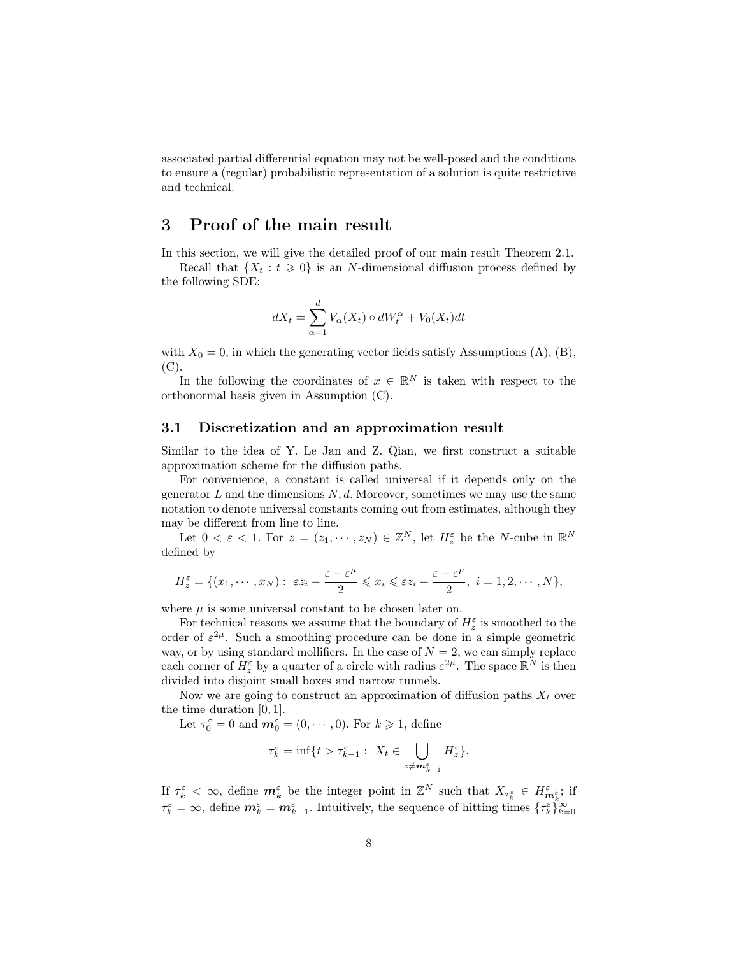associated partial differential equation may not be well-posed and the conditions to ensure a (regular) probabilistic representation of a solution is quite restrictive and technical.

## 3 Proof of the main result

In this section, we will give the detailed proof of our main result Theorem 2.1.

Recall that  $\{X_t : t \geq 0\}$  is an N-dimensional diffusion process defined by the following SDE:

$$
dX_t = \sum_{\alpha=1}^d V_{\alpha}(X_t) \circ dW_t^{\alpha} + V_0(X_t)dt
$$

with  $X_0 = 0$ , in which the generating vector fields satisfy Assumptions (A), (B),  $(C).$ 

In the following the coordinates of  $x \in \mathbb{R}^N$  is taken with respect to the orthonormal basis given in Assumption (C).

#### 3.1 Discretization and an approximation result

Similar to the idea of Y. Le Jan and Z. Qian, we first construct a suitable approximation scheme for the diffusion paths.

For convenience, a constant is called universal if it depends only on the generator  $L$  and the dimensions  $N, d$ . Moreover, sometimes we may use the same notation to denote universal constants coming out from estimates, although they may be different from line to line.

Let  $0 < \varepsilon < 1$ . For  $z = (z_1, \dots, z_N) \in \mathbb{Z}^N$ , let  $H_z^{\varepsilon}$  be the N-cube in  $\mathbb{R}^N$ defined by

$$
H_z^{\varepsilon} = \{ (x_1, \cdots, x_N) : \ \varepsilon z_i - \frac{\varepsilon - \varepsilon^{\mu}}{2} \leqslant x_i \leqslant \varepsilon z_i + \frac{\varepsilon - \varepsilon^{\mu}}{2}, \ i = 1, 2, \cdots, N \},
$$

where  $\mu$  is some universal constant to be chosen later on.

For technical reasons we assume that the boundary of  $H_z^\varepsilon$  is smoothed to the order of  $\varepsilon^{2\mu}$ . Such a smoothing procedure can be done in a simple geometric way, or by using standard mollifiers. In the case of  $N = 2$ , we can simply replace each corner of  $H_z^{\varepsilon}$  by a quarter of a circle with radius  $\varepsilon^{2\mu}$ . The space  $\mathbb{R}^N$  is then divided into disjoint small boxes and narrow tunnels.

Now we are going to construct an approximation of diffusion paths  $X_t$  over the time duration [0, 1].

Let  $\tau_0^{\varepsilon} = 0$  and  $\mathbf{m}_0^{\varepsilon} = (0, \dots, 0)$ . For  $k \geq 1$ , define

$$
\tau_k^{\varepsilon} = \inf \{ t > \tau_{k-1}^{\varepsilon} : \ X_t \in \bigcup_{z \neq \mathbf{m}_{k-1}^{\varepsilon}} H_z^{\varepsilon} \}.
$$

If  $\tau_k^{\varepsilon} < \infty$ , define  $\mathbf{m}_k^{\varepsilon}$  be the integer point in  $\mathbb{Z}^N$  such that  $X_{\tau_k^{\varepsilon}} \in H_{\mathbf{m}_k^{\varepsilon}}^{\varepsilon}$ ; if  $\tau_k^{\varepsilon} = \infty$ , define  $\mathbf{m}_{k}^{\varepsilon} = \mathbf{m}_{k-1}^{\varepsilon}$ . Intuitively, the sequence of hitting times  $\{\tau_k^{\varepsilon}\}_{k=0}^{\infty}$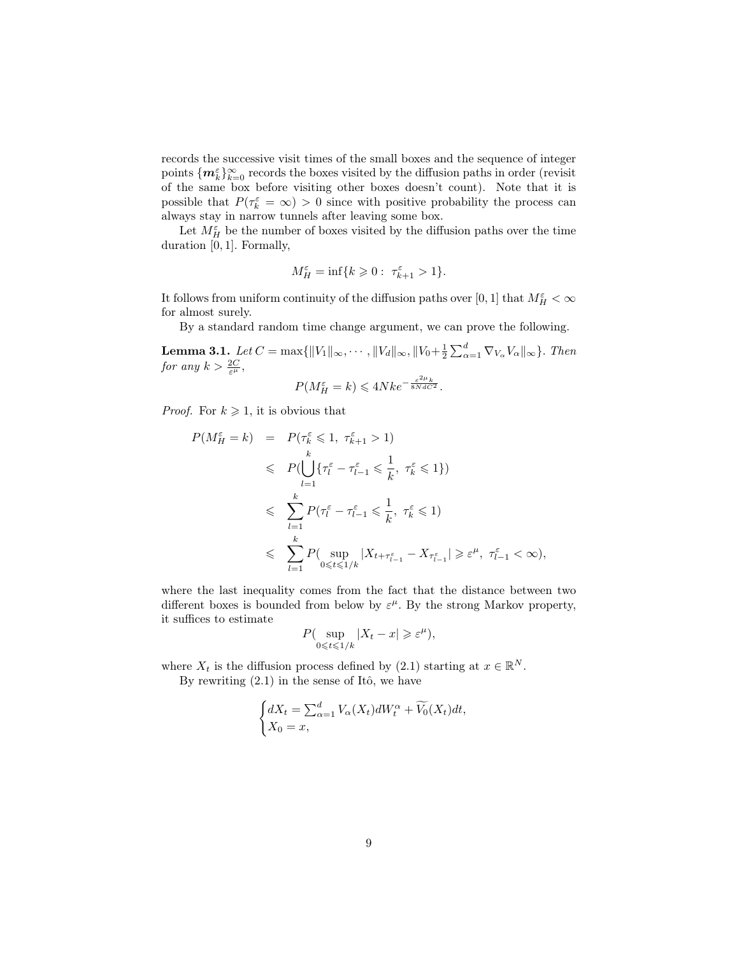records the successive visit times of the small boxes and the sequence of integer points  $\{m_k^\varepsilon\}_{k=0}^\infty$  records the boxes visited by the diffusion paths in order (revisit of the same box before visiting other boxes doesn't count). Note that it is possible that  $P(\tau_k^{\varepsilon} = \infty) > 0$  since with positive probability the process can always stay in narrow tunnels after leaving some box.

Let  $M_H^{\varepsilon}$  be the number of boxes visited by the diffusion paths over the time duration [0, 1]. Formally,

$$
M_H^{\varepsilon} = \inf\{k \geq 0: \ \tau_{k+1}^{\varepsilon} > 1\}.
$$

It follows from uniform continuity of the diffusion paths over  $[0,1]$  that  $M_H^\varepsilon<\infty$ for almost surely.

By a standard random time change argument, we can prove the following.

**Lemma 3.1.** Let  $C = \max\{\|V_1\|_{\infty}, \cdots, \|V_d\|_{\infty}, \|V_0 + \frac{1}{2} \sum_{\alpha=1}^d \nabla_{V_{\alpha}} V_{\alpha}\|_{\infty}\}.$  Then for any  $k > \frac{2C}{\varepsilon^{\mu}},$  $2u$ 

$$
P(M_H^{\varepsilon} = k) \leq 4Nke^{-\frac{\varepsilon^{2\mu}k}{8NdC^2}}.
$$

*Proof.* For  $k \geq 1$ , it is obvious that

$$
P(M_H^{\varepsilon} = k) = P(\tau_k^{\varepsilon} \leq 1, \tau_{k+1}^{\varepsilon} > 1)
$$
  
\n
$$
\leq P(\bigcup_{l=1}^k \{\tau_l^{\varepsilon} - \tau_{l-1}^{\varepsilon} \leq \frac{1}{k}, \tau_k^{\varepsilon} \leq 1\})
$$
  
\n
$$
\leq \sum_{l=1}^k P(\tau_l^{\varepsilon} - \tau_{l-1}^{\varepsilon} \leq \frac{1}{k}, \tau_k^{\varepsilon} \leq 1)
$$
  
\n
$$
\leq \sum_{l=1}^k P(\sup_{0 \leq t \leq 1/k} |X_{t+\tau_{l-1}^{\varepsilon}} - X_{\tau_{l-1}^{\varepsilon}}| \geq \varepsilon^{\mu}, \tau_{l-1}^{\varepsilon} < \infty),
$$

where the last inequality comes from the fact that the distance between two different boxes is bounded from below by  $\varepsilon^{\mu}$ . By the strong Markov property, it suffices to estimate

$$
P(\sup_{0\leq t\leq 1/k}|X_t-x|\geqslant \varepsilon^\mu),
$$

where  $X_t$  is the diffusion process defined by (2.1) starting at  $x \in \mathbb{R}^N$ .

By rewriting  $(2.1)$  in the sense of Itô, we have

$$
\begin{cases} dX_t = \sum_{\alpha=1}^d V_{\alpha}(X_t) dW_t^{\alpha} + \widetilde{V_0}(X_t) dt, \\ X_0 = x, \end{cases}
$$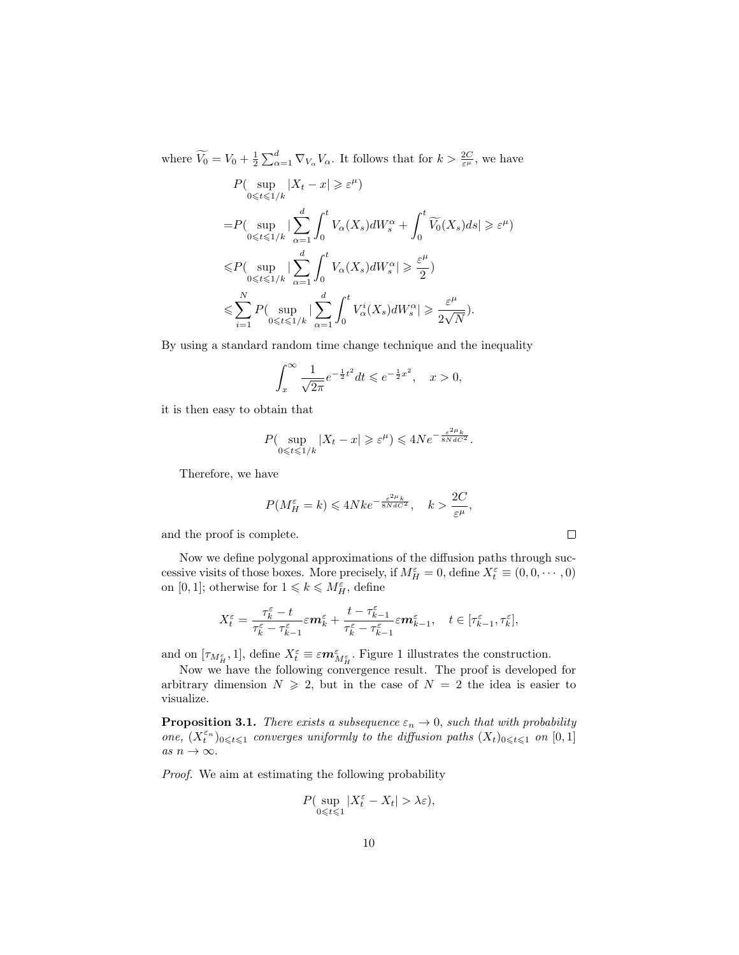where  $\widetilde{V}_0 = V_0 + \frac{1}{2} \sum_{\alpha=1}^d \nabla_{V_\alpha} V_\alpha$ . It follows that for  $k > \frac{2C}{\varepsilon^{\mu}}$ , we have

$$
\begin{split} &P\big(\sup_{0\leqslant t\leqslant 1/k} |X_t-x|\geqslant \varepsilon^\mu\big)\\ =&P\big(\sup_{0\leqslant t\leqslant 1/k}|\sum_{\alpha=1}^d\int_0^tV_\alpha(X_s)dW_s^\alpha+\int_0^t\widetilde{V_0}(X_s)ds|\geqslant \varepsilon^\mu)\\ \leqslant &P\big(\sup_{0\leqslant t\leqslant 1/k}|\sum_{\alpha=1}^d\int_0^tV_\alpha(X_s)dW_s^\alpha|\geqslant \frac{\varepsilon^\mu}{2}\big)\\ \leqslant &\sum_{i=1}^NP\big(\sup_{0\leqslant t\leqslant 1/k}|\sum_{\alpha=1}^d\int_0^tV_\alpha^i(X_s)dW_s^\alpha|\geqslant \frac{\varepsilon^\mu}{2\sqrt{N}}\big). \end{split}
$$

By using a standard random time change technique and the inequality

$$
\int_{x}^{\infty} \frac{1}{\sqrt{2\pi}} e^{-\frac{1}{2}t^2} dt \leqslant e^{-\frac{1}{2}x^2}, \quad x > 0,
$$

it is then easy to obtain that

$$
P(\sup_{0\leq t\leq 1/k}|X_t-x|\geqslant \varepsilon^{\mu})\leqslant 4Ne^{-\frac{\varepsilon^{2\mu}k}{8NdC^2}}.
$$

Therefore, we have

$$
P(M_H^{\varepsilon} = k) \leq 4Nke^{-\frac{\varepsilon^2 \mu_k}{8NdC^2}}, \quad k > \frac{2C}{\varepsilon^{\mu}},
$$

and the proof is complete.

Now we define polygonal approximations of the diffusion paths through successive visits of those boxes. More precisely, if  $M_H^{\varepsilon} = 0$ , define  $X_t^{\varepsilon} \equiv (0, 0, \cdots, 0)$ on [0, 1]; otherwise for  $1 \leq k \leq M_H^{\varepsilon}$ , define

$$
X_t^\varepsilon=\frac{\tau_k^\varepsilon-t}{\tau_k^\varepsilon-\tau_{k-1}^\varepsilon}\varepsilon m_k^\varepsilon+\frac{t-\tau_{k-1}^\varepsilon}{\tau_k^\varepsilon-\tau_{k-1}^\varepsilon}\varepsilon m_{k-1}^\varepsilon,\quad t\in[\tau_{k-1}^\varepsilon,\tau_k^\varepsilon],
$$

and on  $[\tau_{M_H^{\varepsilon}},1]$ , define  $X_t^{\varepsilon} \equiv \varepsilon m_{M_H^{\varepsilon}}^{\varepsilon}$ . Figure 1 illustrates the construction.

Now we have the following convergence result. The proof is developed for arbitrary dimension  $N \ge 2$ , but in the case of  $N = 2$  the idea is easier to visualize.

**Proposition 3.1.** There exists a subsequence  $\varepsilon_n \to 0$ , such that with probability one,  $(X_t^{\varepsilon_n})_{0\leqslant t\leqslant 1}$  converges uniformly to the diffusion paths  $(X_t)_{0\leqslant t\leqslant 1}$  on  $[0,1]$ as  $n \to \infty$ .

Proof. We aim at estimating the following probability

$$
P(\sup_{0\leq t\leq 1}|X_t^{\varepsilon}-X_t|>\lambda{\varepsilon}),
$$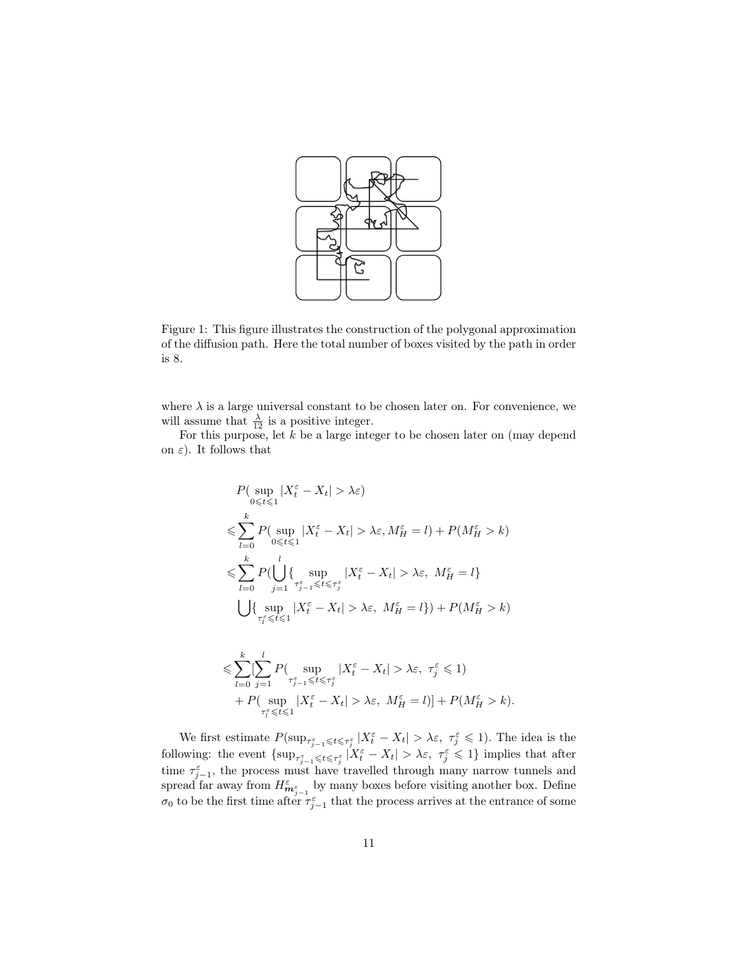

Figure 1: This figure illustrates the construction of the polygonal approximation of the diffusion path. Here the total number of boxes visited by the path in order is 8.

where  $\lambda$  is a large universal constant to be chosen later on. For convenience, we will assume that  $\frac{\lambda}{12}$  is a positive integer.

For this purpose, let  $k$  be a large integer to be chosen later on (may depend on  $\varepsilon$ ). It follows that

$$
P(\sup_{0 \leq t \leq 1} |X_t^{\varepsilon} - X_t| > \lambda \varepsilon)
$$
  
\n
$$
\leq \sum_{l=0}^{k} P(\sup_{0 \leq t \leq 1} |X_t^{\varepsilon} - X_t| > \lambda \varepsilon, M_H^{\varepsilon} = l) + P(M_H^{\varepsilon} > k)
$$
  
\n
$$
\leq \sum_{l=0}^{k} P(\bigcup_{j=1}^{l} \{ \sup_{\tau_{j-1}^{\varepsilon} \leq t \leq \tau_{j}^{\varepsilon}} |X_t^{\varepsilon} - X_t| > \lambda \varepsilon, M_H^{\varepsilon} = l \}
$$
  
\n
$$
\bigcup \{ \sup_{\tau_{l}^{\varepsilon} \leq t \leq 1} |X_t^{\varepsilon} - X_t| > \lambda \varepsilon, M_H^{\varepsilon} = l \}) + P(M_H^{\varepsilon} > k)
$$
  
\n
$$
\leq \sum_{l=0}^{k} [\sum_{j=1}^{l} P(\sup_{\tau_{j-1}^{\varepsilon} \leq t \leq \tau_{j}^{\varepsilon}} |X_t^{\varepsilon} - X_t| > \lambda \varepsilon, \ \tau_{j}^{\varepsilon} \leq 1)
$$

+ 
$$
P(\sup_{\tau_t^{\varepsilon}} |X_t^{\varepsilon} - X_t| > \lambda \varepsilon, M_H^{\varepsilon} = l)] + P(M_H^{\varepsilon} > k).
$$
  
at estimates  $P(\sup_{t \in \mathcal{I}} |X_t^{\varepsilon} - X_t| > \lambda \varepsilon, \quad \mathcal{I} \leq \varepsilon \leq 1)$ . The is

We first estimate  $P(\sup_{\tau_{j-1}^{\varepsilon} \leq t \leq \tau_j^{\varepsilon}} |X_t^{\varepsilon} - X_t| > \lambda \varepsilon, \ \tau_j^{\varepsilon} \leq 1)$ . The idea is the following: the event  $\{\sup_{\tau_{j-1}^{\varepsilon}} |X_{t}^{\varepsilon} - X_{t}| > \lambda \varepsilon, \ \tau_{j}^{\varepsilon} \leq 1\}$  implies that after time  $\tau_{j-1}^{\varepsilon}$ , the process must have travelled through many narrow tunnels and spread far away from  $H_{\bm{m}_{j-1}^{\varepsilon}}^{\varepsilon}$  by many boxes before visiting another box. Define  $\sigma_0$  to be the first time after  $\tau_{j-1}^{\varepsilon}$  that the process arrives at the entrance of some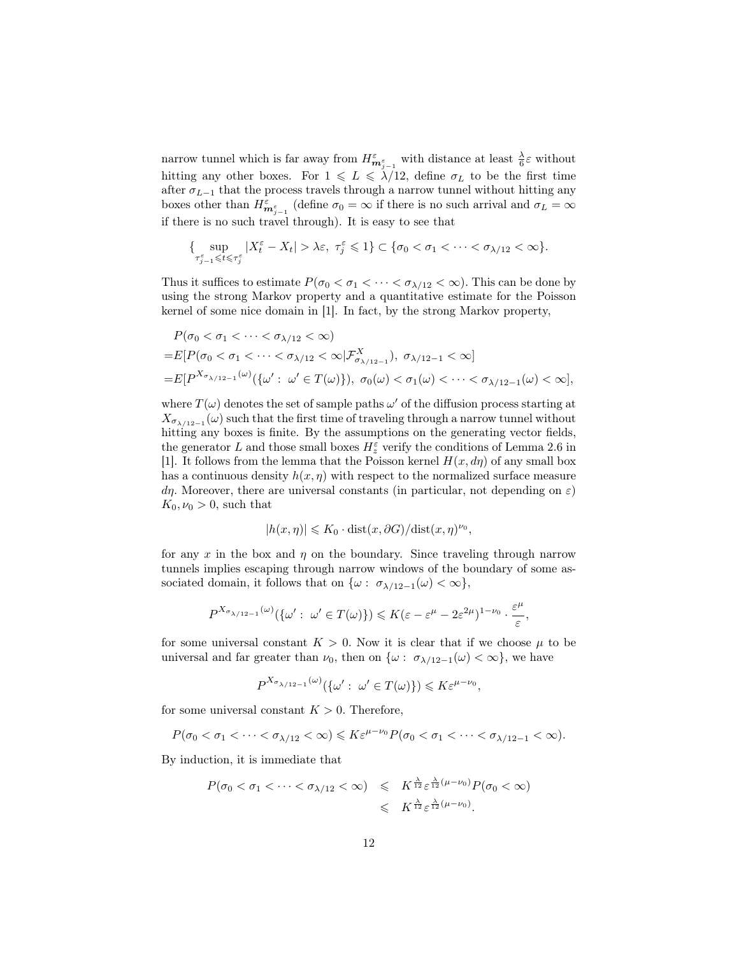narrow tunnel which is far away from  $H_{m_{j-1}^{\varepsilon}}^{\varepsilon}$  with distance at least  $\frac{\lambda}{6}\varepsilon$  without hitting any other boxes. For  $1 \leq L \leq \lambda/12$ , define  $\sigma_L$  to be the first time after  $\sigma_{L-1}$  that the process travels through a narrow tunnel without hitting any boxes other than  $H_{m_{j-1}^{\varepsilon}}^{\varepsilon}$  (define  $\sigma_0 = \infty$  if there is no such arrival and  $\sigma_L = \infty$ if there is no such travel through). It is easy to see that

$$
\{\sup_{\tau_{j-1}^\varepsilon\leqslant t\leqslant\tau_j^\varepsilon}|X_t^\varepsilon-X_t|>\lambda\varepsilon,\ \tau_j^\varepsilon\leqslant 1\}\subset\{\sigma_0<\sigma_1<\cdots<\sigma_{\lambda/12}<\infty\}.
$$

Thus it suffices to estimate  $P(\sigma_0 < \sigma_1 < \cdots < \sigma_{\lambda/12} < \infty)$ . This can be done by using the strong Markov property and a quantitative estimate for the Poisson kernel of some nice domain in [1]. In fact, by the strong Markov property,

$$
P(\sigma_0 < \sigma_1 < \cdots < \sigma_{\lambda/12} < \infty)
$$
\n
$$
= E[P(\sigma_0 < \sigma_1 < \cdots < \sigma_{\lambda/12} < \infty | \mathcal{F}_{\sigma_{\lambda/12-1}}^X), \ \sigma_{\lambda/12-1} < \infty]
$$
\n
$$
= E[P^{\chi_{\sigma_{\lambda/12-1}}(\omega)}(\{\omega': \ \omega' \in T(\omega)\}), \ \sigma_0(\omega) < \sigma_1(\omega) < \cdots < \sigma_{\lambda/12-1}(\omega) < \infty],
$$

where  $T(\omega)$  denotes the set of sample paths  $\omega'$  of the diffusion process starting at  $X_{\sigma_{\lambda/12-1}}(\omega)$  such that the first time of traveling through a narrow tunnel without hitting any boxes is finite. By the assumptions on the generating vector fields, the generator  $L$  and those small boxes  $H_z^\varepsilon$  verify the conditions of Lemma 2.6 in [1]. It follows from the lemma that the Poisson kernel  $H(x, d\eta)$  of any small box has a continuous density  $h(x, \eta)$  with respect to the normalized surface measure dη. Moreover, there are universal constants (in particular, not depending on  $\varepsilon$ )  $K_0, \nu_0 > 0$ , such that

$$
|h(x, \eta)| \leqslant K_0 \cdot \text{dist}(x, \partial G) / \text{dist}(x, \eta)^{\nu_0},
$$

for any x in the box and  $\eta$  on the boundary. Since traveling through narrow tunnels implies escaping through narrow windows of the boundary of some associated domain, it follows that on  $\{\omega: \sigma_{\lambda/12-1}(\omega) < \infty\},\$ 

$$
P^{X_{\sigma_{\lambda/12-1}}(\omega)}(\{\omega':\omega'\in T(\omega)\})\leqslant K(\varepsilon-\varepsilon^{\mu}-2\varepsilon^{2\mu})^{1-\nu_0}\cdot\frac{\varepsilon^{\mu}}{\varepsilon},
$$

for some universal constant  $K > 0$ . Now it is clear that if we choose  $\mu$  to be universal and far greater than  $\nu_0$ , then on  $\{\omega: \sigma_{\lambda/12-1}(\omega) < \infty\}$ , we have

$$
P^{X_{\sigma_{\lambda/12-1}}(\omega)}(\{\omega': \omega' \in T(\omega)\}) \leqslant K\varepsilon^{\mu-\nu_0},
$$

for some universal constant  $K > 0$ . Therefore,

$$
P(\sigma_0 < \sigma_1 < \cdots < \sigma_{\lambda/12} < \infty) \leqslant K \varepsilon^{\mu-\nu_0} P(\sigma_0 < \sigma_1 < \cdots < \sigma_{\lambda/12-1} < \infty).
$$

By induction, it is immediate that

$$
P(\sigma_0 < \sigma_1 < \cdots < \sigma_{\lambda/12} < \infty) \leqslant K^{\frac{\lambda}{12}} \varepsilon^{\frac{\lambda}{12}(\mu-\nu_0)} P(\sigma_0 < \infty)
$$
\n
$$
\leqslant K^{\frac{\lambda}{12}} \varepsilon^{\frac{\lambda}{12}(\mu-\nu_0)}.
$$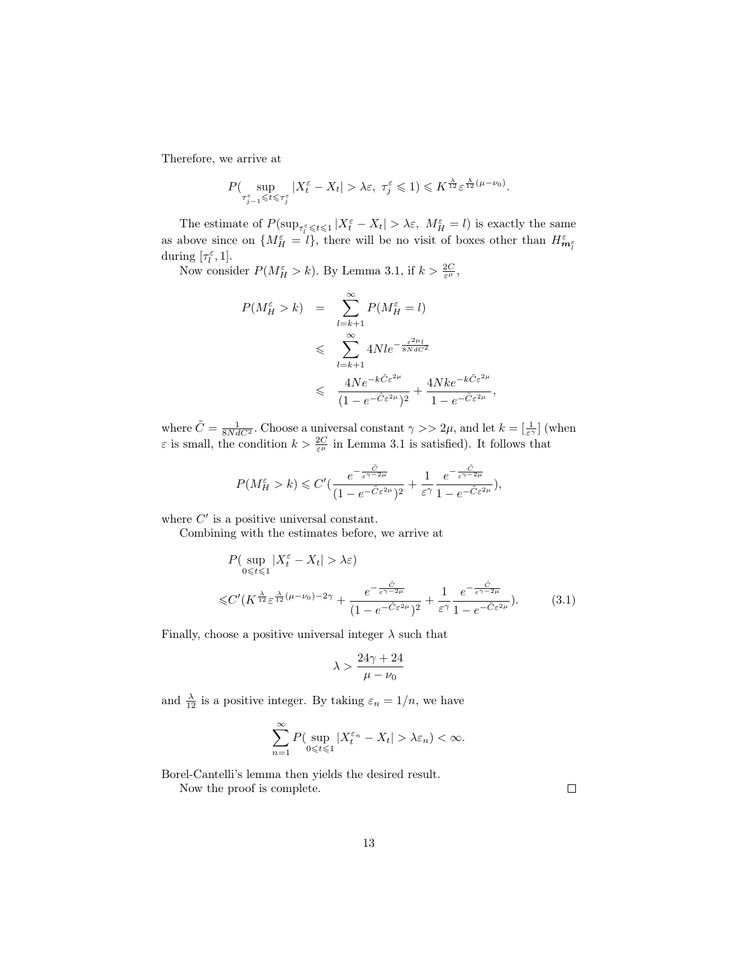Therefore, we arrive at

$$
P(\sup_{\tau_{j-1}^{\varepsilon} \leq t \leq \tau_j^{\varepsilon}} |X_t^{\varepsilon} - X_t| > \lambda \varepsilon, \ \tau_j^{\varepsilon} \leq 1) \leq K^{\frac{\lambda}{12}} \varepsilon^{\frac{\lambda}{12}(\mu - \nu_0)}.
$$

The estimate of  $P(\sup_{\tau_i^{\varepsilon} \leq t \leq 1} |X_t^{\varepsilon} - X_t| > \lambda \varepsilon, M_H^{\varepsilon} = l)$  is exactly the same as above since on  $\{M_{H}^{\varepsilon} = l\}$ , there will be no visit of boxes other than  $H_{m_l^{\varepsilon}}^{\varepsilon}$ during  $[\tau_l^{\varepsilon}, 1]$ .

Now consider  $P(M_H^{\varepsilon} > k)$ . By Lemma 3.1, if  $k > \frac{2C}{\varepsilon^{\mu}}$ ,

$$
P(M_H^{\varepsilon} > k) = \sum_{l=k+1}^{\infty} P(M_H^{\varepsilon} = l)
$$
  

$$
\leqslant \sum_{l=k+1}^{\infty} 4Nle^{-\frac{\varepsilon^{2\mu_l}}{8NdC^2}}
$$
  

$$
\leqslant \frac{4Ne^{-k\tilde{C}\varepsilon^{2\mu}}}{(1 - e^{-\tilde{C}\varepsilon^{2\mu}})^2} + \frac{4Nke^{-k\tilde{C}\varepsilon^{2\mu}}}{1 - e^{-\tilde{C}\varepsilon^{2\mu}}},
$$

where  $\tilde{C} = \frac{1}{8NdC^2}$ . Choose a universal constant  $\gamma >> 2\mu$ , and let  $k = \left[\frac{1}{\varepsilon^{\gamma}}\right]$  (when  $\varepsilon$  is small, the condition  $k > \frac{2C}{\varepsilon^{\mu}}$  in Lemma 3.1 is satisfied). It follows that

$$
P(M_H^{\varepsilon} > k) \leq C' \left( \frac{e^{-\frac{\tilde{C}}{\varepsilon^{\gamma - 2\mu}}}}{(1 - e^{-\tilde{C}\varepsilon^{2\mu}})^2} + \frac{1}{\varepsilon^{\gamma}} \frac{e^{-\frac{\tilde{C}}{\varepsilon^{\gamma - 2\mu}}}}{1 - e^{-\tilde{C}\varepsilon^{2\mu}}}\right),
$$

where  $C'$  is a positive universal constant.

Combining with the estimates before, we arrive at

$$
P\left(\sup_{0\leq t\leq 1}|X_t^{\varepsilon}-X_t|>\lambda\varepsilon\right)
$$
  

$$
\leq C'\left(K^{\frac{\lambda}{12}}\varepsilon^{\frac{\lambda}{12}(\mu-\nu_0)-2\gamma}+\frac{e^{-\frac{\tilde{C}}{\varepsilon^{\gamma-2\mu}}}}{(1-e^{-\tilde{C}\varepsilon^{2\mu}})^2}+\frac{1}{\varepsilon^{\gamma}}\frac{e^{-\frac{\tilde{C}}{\varepsilon^{\gamma-2\mu}}}}{1-e^{-\tilde{C}\varepsilon^{2\mu}}}\right).
$$
(3.1)

Finally, choose a positive universal integer  $\lambda$  such that

$$
\lambda > \frac{24\gamma + 24}{\mu - \nu_0}
$$

and  $\frac{\lambda}{12}$  is a positive integer. By taking  $\varepsilon_n = 1/n$ , we have

$$
\sum_{n=1}^{\infty} P\left(\sup_{0 \leq t \leq 1} |X_t^{\varepsilon_n} - X_t| > \lambda \varepsilon_n\right) < \infty.
$$

Borel-Cantelli's lemma then yields the desired result.

Now the proof is complete.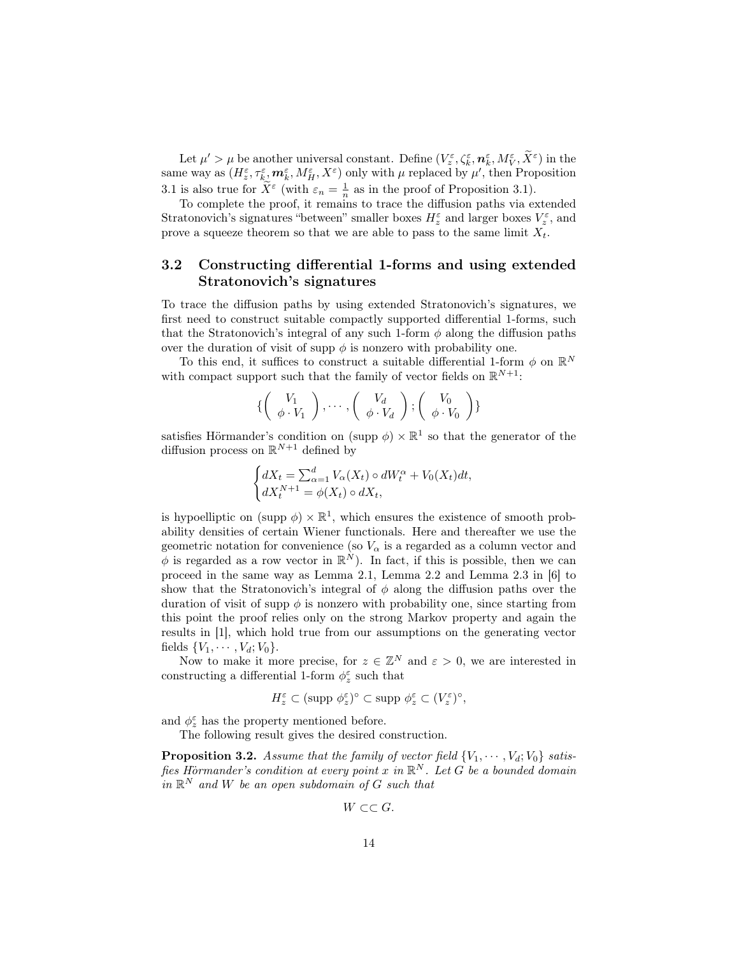Let  $\mu' > \mu$  be another universal constant. Define  $(V_z^{\varepsilon}, \zeta_k^{\varepsilon}, \mathbf{n}_k^{\varepsilon}, M_V^{\varepsilon}, \widetilde{X}^{\varepsilon})$  in the same way as  $(H_z^{\varepsilon}, \tau_k^{\varepsilon}, m_k^{\varepsilon}, M_H^{\varepsilon}, X^{\varepsilon})$  only with  $\mu$  replaced by  $\mu'$ , then Proposition 3.1 is also true for  $\widetilde{X}^{\varepsilon}$  (with  $\varepsilon_n = \frac{1}{n}$  as in the proof of Proposition 3.1).

To complete the proof, it remains to trace the diffusion paths via extended Stratonovich's signatures "between" smaller boxes  $H_z^{\varepsilon}$  and larger boxes  $V_z^{\varepsilon}$ , and prove a squeeze theorem so that we are able to pass to the same limit  $X_t$ .

## 3.2 Constructing differential 1-forms and using extended Stratonovich's signatures

To trace the diffusion paths by using extended Stratonovich's signatures, we first need to construct suitable compactly supported differential 1-forms, such that the Stratonovich's integral of any such 1-form  $\phi$  along the diffusion paths over the duration of visit of supp  $\phi$  is nonzero with probability one.

To this end, it suffices to construct a suitable differential 1-form  $\phi$  on  $\mathbb{R}^N$ with compact support such that the family of vector fields on  $\mathbb{R}^{N+1}$ :

$$
\left\{ \left( \begin{array}{c} V_1 \\ \phi \cdot V_1 \end{array} \right), \cdots, \left( \begin{array}{c} V_d \\ \phi \cdot V_d \end{array} \right), \left( \begin{array}{c} V_0 \\ \phi \cdot V_0 \end{array} \right) \right\}
$$

satisfies Hörmander's condition on (supp  $\phi$ )  $\times \mathbb{R}^1$  so that the generator of the diffusion process on  $\mathbb{R}^{N+1}$  defined by

$$
\begin{cases} dX_t = \sum_{\alpha=1}^d V_\alpha(X_t) \circ dW_t^\alpha + V_0(X_t)dt, \\ dX_t^{N+1} = \phi(X_t) \circ dX_t, \end{cases}
$$

is hypoelliptic on (supp  $\phi$ )  $\times \mathbb{R}^1$ , which ensures the existence of smooth probability densities of certain Wiener functionals. Here and thereafter we use the geometric notation for convenience (so  $V_{\alpha}$  is a regarded as a column vector and  $\phi$  is regarded as a row vector in  $\mathbb{R}^N$ ). In fact, if this is possible, then we can proceed in the same way as Lemma 2.1, Lemma 2.2 and Lemma 2.3 in [6] to show that the Stratonovich's integral of  $\phi$  along the diffusion paths over the duration of visit of supp  $\phi$  is nonzero with probability one, since starting from this point the proof relies only on the strong Markov property and again the results in [1], which hold true from our assumptions on the generating vector fields  $\{V_1, \cdots, V_d; V_0\}.$ 

Now to make it more precise, for  $z \in \mathbb{Z}^N$  and  $\varepsilon > 0$ , we are interested in constructing a differential 1-form  $\phi_z^\varepsilon$  such that

$$
H_z^\varepsilon \subset (\text{supp }\phi_z^\varepsilon)^\circ \subset \text{supp }\phi_z^\varepsilon \subset (V_z^\varepsilon)^\circ,
$$

and  $\phi^\varepsilon_z$  has the property mentioned before.

The following result gives the desired construction.

**Proposition 3.2.** Assume that the family of vector field  $\{V_1, \dots, V_d; V_0\}$  satisfies Hörmander's condition at every point x in  $\mathbb{R}^N$ . Let G be a bounded domain in  $\mathbb{R}^N$  and W be an open subdomain of G such that

 $W \subset\subset G$ .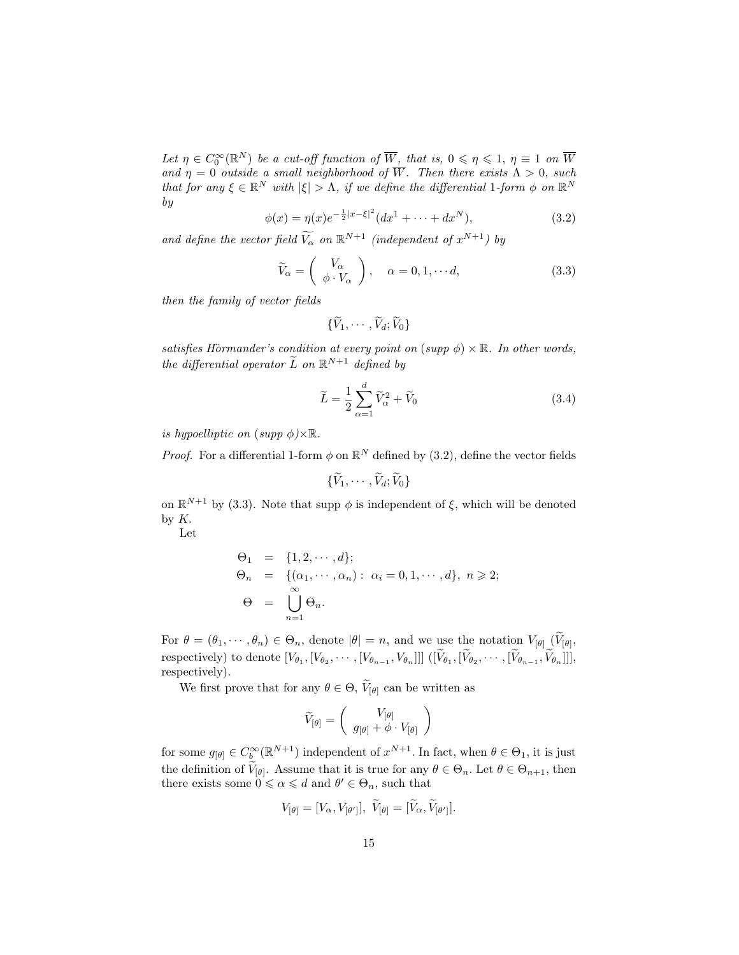Let  $\eta \in C_0^{\infty}(\mathbb{R}^N)$  be a cut-off function of  $\overline{W}$ , that is,  $0 \le \eta \le 1$ ,  $\eta \equiv 1$  on  $\overline{W}$ and  $\eta = 0$  outside a small neighborhood of W. Then there exists  $\Lambda > 0$ , such that for any  $\xi \in \mathbb{R}^N$  with  $|\xi| > \Lambda$ , if we define the differential 1-form  $\phi$  on  $\mathbb{R}^N$ by

$$
\phi(x) = \eta(x)e^{-\frac{1}{2}|x-\xi|^2}(dx^1 + \dots + dx^N),
$$
\n(3.2)

and define the vector field  $\widetilde{V_{\alpha}}$  on  $\mathbb{R}^{N+1}$  (independent of  $x^{N+1}$ ) by

$$
\widetilde{V}_{\alpha} = \begin{pmatrix} V_{\alpha} \\ \phi \cdot V_{\alpha} \end{pmatrix}, \quad \alpha = 0, 1, \cdots d,
$$
\n(3.3)

then the family of vector fields

$$
\{\widetilde{V}_1,\cdots,\widetilde{V}_d;\widetilde{V}_0\}
$$

satisfies Hörmander's condition at every point on  $(supp \phi) \times \mathbb{R}$ . In other words, the differential operator  $\tilde{L}$  on  $\mathbb{R}^{N+1}$  defined by

$$
\widetilde{L} = \frac{1}{2} \sum_{\alpha=1}^{d} \widetilde{V}_{\alpha}^{2} + \widetilde{V}_{0}
$$
\n(3.4)

is hypoelliptic on  $(supp \phi) \times \mathbb{R}$ .

*Proof.* For a differential 1-form  $\phi$  on  $\mathbb{R}^N$  defined by (3.2), define the vector fields

 $\sim$   $\sim$ 

$$
\{\widetilde V_1,\cdots,\widetilde V_d;\widetilde V_0\}
$$

on  $\mathbb{R}^{N+1}$  by (3.3). Note that supp  $\phi$  is independent of  $\xi$ , which will be denoted by K.

Let

$$
\Theta_1 = \{1, 2, \cdots, d\};
$$
  
\n
$$
\Theta_n = \{(\alpha_1, \cdots, \alpha_n) : \alpha_i = 0, 1, \cdots, d\}, n \ge 2;
$$
  
\n
$$
\Theta = \bigcup_{n=1}^{\infty} \Theta_n.
$$

For  $\theta = (\theta_1, \dots, \theta_n) \in \Theta_n$ , denote  $|\theta| = n$ , and we use the notation  $V_{[\theta]}(V_{[\theta]},$ respectively) to denote  $[V_{\theta_1}, [V_{\theta_2}, \cdots, [V_{\theta_{n-1}}, V_{\theta_n}]]]$   $([V_{\theta_1}, [V_{\theta_2}, \cdots, [V_{\theta_{n-1}}, V_{\theta_n}]]],$ respectively).

We first prove that for any  $\theta \in \Theta$ ,  $V_{[\theta]}$  can be written as

$$
\widetilde{V}_{[\theta]} = \left(\begin{array}{c} V_{[\theta]} \\ g_{[\theta]} + \phi \cdot V_{[\theta]} \end{array}\right)
$$

for some  $g_{[\theta]} \in C_b^{\infty}(\mathbb{R}^{N+1})$  independent of  $x^{N+1}$ . In fact, when  $\theta \in \Theta_1$ , it is just the definition of  $V_{[\theta]}$ . Assume that it is true for any  $\theta \in \Theta_n$ . Let  $\theta \in \Theta_{n+1}$ , then there exists some  $0 \le \alpha \le d$  and  $\theta' \in \Theta_n$ , such that

$$
V_{\left[\theta\right]}=[V_{\alpha},V_{\left[\theta'\right]}],\ \ \tilde{V}_{\left[\theta\right]}=[\tilde{V}_{\alpha},\tilde{V}_{\left[\theta'\right]}].
$$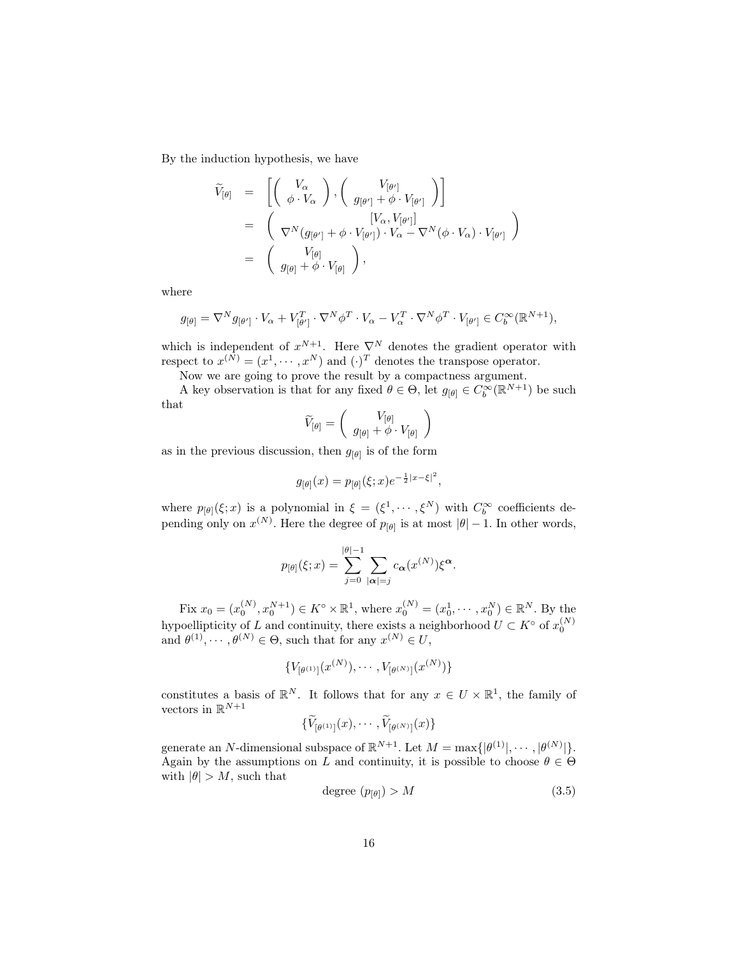By the induction hypothesis, we have

$$
\widetilde{V}_{[\theta]} = \begin{bmatrix} V_{\alpha} \\ \phi \cdot V_{\alpha} \end{bmatrix}, \begin{bmatrix} V_{[\theta']} \\ g_{[\theta']} + \phi \cdot V_{[\theta']} \end{bmatrix} \\ = \begin{pmatrix} [V_{\alpha}, V_{[\theta']}] \\ \nabla^{N} (g_{[\theta']} + \phi \cdot V_{[\theta']} ) \cdot V_{\alpha} - \nabla^{N} (\phi \cdot V_{\alpha}) \cdot V_{[\theta']} \end{pmatrix} \\ = \begin{pmatrix} V_{[\theta]} \\ g_{[\theta]} + \phi \cdot V_{[\theta]} \end{pmatrix},
$$

where

$$
g_{[\theta]} = \nabla^N g_{[\theta']} \cdot V_{\alpha} + V_{[\theta']}^T \cdot \nabla^N \phi^T \cdot V_{\alpha} - V_{\alpha}^T \cdot \nabla^N \phi^T \cdot V_{[\theta']} \in C_b^{\infty}(\mathbb{R}^{N+1}),
$$

which is independent of  $x^{N+1}$ . Here  $\nabla^N$  denotes the gradient operator with respect to  $x^{(N)} = (x^1, \dots, x^N)$  and  $(\cdot)^T$  denotes the transpose operator.

Now we are going to prove the result by a compactness argument.

A key observation is that for any fixed  $\theta \in \Theta$ , let  $g_{[\theta]} \in C_b^{\infty}(\mathbb{R}^{N+1})$  be such that

$$
\widetilde{V}_{[\theta]} = \left(\begin{array}{c} V_{[\theta]} \\ g_{[\theta]} + \phi \cdot V_{[\theta]} \end{array}\right)
$$

as in the previous discussion, then  $g_{\lbrack \theta \rbrack}$  is of the form

$$
g_{[\theta]}(x) = p_{[\theta]}(\xi; x) e^{-\frac{1}{2}|x-\xi|^2},
$$

where  $p_{[\theta]}(\xi; x)$  is a polynomial in  $\xi = (\xi^1, \dots, \xi^N)$  with  $C_b^{\infty}$  coefficients depending only on  $x^{(N)}$ . Here the degree of  $p_{\lbrack \theta \rbrack}$  is at most  $|\theta|-1$ . In other words,

$$
p_{[\theta]}(\xi; x) = \sum_{j=0}^{|\theta|-1} \sum_{|\alpha|=j} c_{\alpha}(x^{(N)}) \xi^{\alpha}.
$$

Fix  $x_0 = (x_0^{(N)}, x_0^{N+1}) \in K^{\circ} \times \mathbb{R}^1$ , where  $x_0^{(N)} = (x_0^1, \dots, x_0^N) \in \mathbb{R}^N$ . By the hypoellipticity of L and continuity, there exists a neighborhood  $U \subset K^{\circ}$  of  $x_0^{(N)}$  and  $\theta^{(1)}, \dots, \theta^{(N)} \in \Theta$ , such that for any  $x^{(N)} \in U$ ,

$$
\{V_{[\theta^{(1)}]}(x^{(N)}),\cdots,V_{[\theta^{(N)}]}(x^{(N)})\}
$$

constitutes a basis of  $\mathbb{R}^N$ . It follows that for any  $x \in U \times \mathbb{R}^1$ , the family of vectors in  $\mathbb{R}^{N+1}$ 

$$
\{V_{[\theta^{(1)}]}(x),\cdots,V_{[\theta^{(N)}]}(x)\}\
$$

generate an N-dimensional subspace of  $\mathbb{R}^{N+1}$ . Let  $M = \max\{|\theta^{(1)}|, \cdots, |\theta^{(N)}|\}.$ Again by the assumptions on L and continuity, it is possible to choose  $\theta \in \Theta$ with  $|\theta| > M$ , such that

$$
degree (p_{[\theta]}) > M \tag{3.5}
$$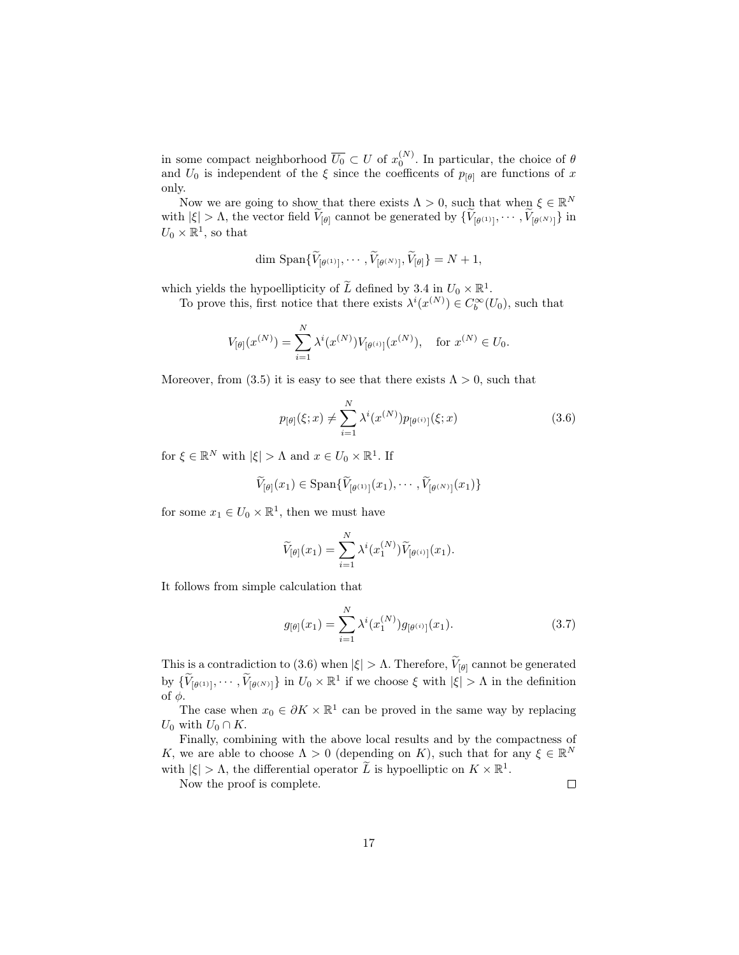in some compact neighborhood  $\overline{U_0} \subset U$  of  $x_0^{(N)}$ . In particular, the choice of  $\theta$ and  $U_0$  is independent of the  $\xi$  since the coefficents of  $p_{[\theta]}$  are functions of x only.

Now we are going to show that there exists  $\Lambda > 0$ , such that when  $\xi \in \mathbb{R}^N$ with  $|\xi| > \Lambda$ , the vector field  $V_{[\theta]}$  cannot be generated by  $\{V_{[\theta^{(1)}]}, \cdots, V_{[\theta^{(N)}]}\}\$  in  $U_0 \times \mathbb{R}^1$ , so that

$$
\dim \, \text{Span}\{\widetilde{V}_{[\theta^{(1)}]},\cdots,\widetilde{V}_{[\theta^{(N)}]},\widetilde{V}_{[\theta]}\} = N + 1,
$$

which yields the hypoellipticity of  $\widetilde{L}$  defined by 3.4 in  $U_0 \times \mathbb{R}^1$ .

To prove this, first notice that there exists  $\lambda^{i}(x^{(N)}) \in C_b^{\infty}(U_0)$ , such that

$$
V_{[\theta]}(x^{(N)}) = \sum_{i=1}^{N} \lambda^{i}(x^{(N)}) V_{[\theta^{(i)}]}(x^{(N)}), \text{ for } x^{(N)} \in U_0.
$$

Moreover, from (3.5) it is easy to see that there exists  $\Lambda > 0$ , such that

$$
p_{[\theta]}(\xi; x) \neq \sum_{i=1}^{N} \lambda^{i}(x^{(N)}) p_{[\theta^{(i)}]}(\xi; x)
$$
\n(3.6)

for  $\xi \in \mathbb{R}^N$  with  $|\xi| > \Lambda$  and  $x \in U_0 \times \mathbb{R}^1$ . If

$$
\widetilde{V}_{[\theta]}(x_1) \in \text{Span}\{\widetilde{V}_{[\theta^{(1)}]}(x_1), \cdots, \widetilde{V}_{[\theta^{(N)}]}(x_1)\}
$$

for some  $x_1 \in U_0 \times \mathbb{R}^1$ , then we must have

$$
\widetilde{V}_{[\theta]}(x_1) = \sum_{i=1}^N \lambda^i(x_1^{(N)}) \widetilde{V}_{[\theta^{(i)}]}(x_1).
$$

It follows from simple calculation that

$$
g_{[\theta]}(x_1) = \sum_{i=1}^{N} \lambda^i(x_1^{(N)}) g_{[\theta^{(i)}]}(x_1).
$$
 (3.7)

This is a contradiction to (3.6) when  $|\xi| > \Lambda$ . Therefore,  $V_{[\theta]}$  cannot be generated by  $\{\widetilde{V}_{[\theta^{(1)}]}, \cdots, \widetilde{V}_{[\theta^{(N)}]}\}\$  in  $U_0 \times \mathbb{R}^1$  if we choose  $\xi$  with  $|\xi| > \Lambda$  in the definition of  $φ$ .

The case when  $x_0 \in \partial K \times \mathbb{R}^1$  can be proved in the same way by replacing  $U_0$  with  $U_0 \cap K$ .

Finally, combining with the above local results and by the compactness of K, we are able to choose  $\Lambda > 0$  (depending on K), such that for any  $\xi \in \mathbb{R}^N$ with  $|\xi| > \Lambda$ , the differential operator  $\widetilde{L}$  is hypoelliptic on  $K \times \mathbb{R}^1$ .

Now the proof is complete.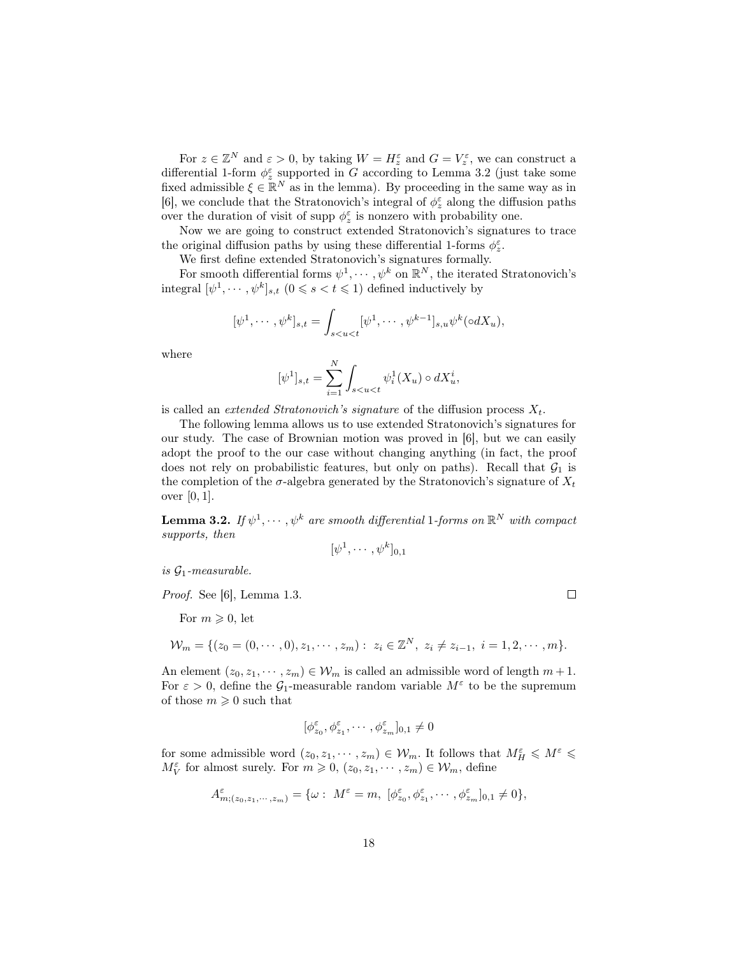For  $z \in \mathbb{Z}^N$  and  $\varepsilon > 0$ , by taking  $W = H_z^{\varepsilon}$  and  $G = V_z^{\varepsilon}$ , we can construct a differential 1-form  $\phi_z^{\varepsilon}$  supported in G according to Lemma 3.2 (just take some fixed admissible  $\xi \in \mathbb{R}^N$  as in the lemma). By proceeding in the same way as in [6], we conclude that the Stratonovich's integral of  $\phi_z^{\varepsilon}$  along the diffusion paths over the duration of visit of supp $\phi_z^\varepsilon$  is nonzero with probability one.

Now we are going to construct extended Stratonovich's signatures to trace the original diffusion paths by using these differential 1-forms  $\phi_z^\varepsilon.$ 

We first define extended Stratonovich's signatures formally.

For smooth differential forms  $\psi^1, \cdots, \psi^k$  on  $\mathbb{R}^N$ , the iterated Stratonovich's integral  $[\psi^1, \dots, \psi^k]_{s,t}$   $(0 \le s < t \le 1)$  defined inductively by

$$
[\psi^1,\cdots,\psi^k]_{s,t}=\int_{s
$$

where

$$
[\psi^1]_{s,t} = \sum_{i=1}^N \int_{s < u < t} \psi_i^1(X_u) \circ dX_u^i,
$$

is called an *extended Stratonovich's signature* of the diffusion process  $X_t$ .

The following lemma allows us to use extended Stratonovich's signatures for our study. The case of Brownian motion was proved in [6], but we can easily adopt the proof to the our case without changing anything (in fact, the proof does not rely on probabilistic features, but only on paths). Recall that  $\mathcal{G}_1$  is the completion of the  $\sigma$ -algebra generated by the Stratonovich's signature of  $X_t$ over [0, 1].

**Lemma 3.2.** If  $\psi^1, \cdots, \psi^k$  are smooth differential 1-forms on  $\mathbb{R}^N$  with compact supports, then

$$
[\psi^1,\cdots,\psi^k]_{0,1}
$$

is  $G_1$ -measurable.

Proof. See [6], Lemma 1.3.

For  $m \geqslant 0$ , let

$$
\mathcal{W}_m = \{ (z_0 = (0, \cdots, 0), z_1, \cdots, z_m) : z_i \in \mathbb{Z}^N, z_i \neq z_{i-1}, i = 1, 2, \cdots, m \}.
$$

An element  $(z_0, z_1, \dots, z_m) \in \mathcal{W}_m$  is called an admissible word of length  $m+1$ . For  $\varepsilon > 0$ , define the  $\mathcal{G}_1$ -measurable random variable  $M^{\varepsilon}$  to be the supremum of those  $m \geqslant 0$  such that

$$
[\phi_{z_0}^{\varepsilon},\phi_{z_1}^{\varepsilon},\cdots,\phi_{z_m}^{\varepsilon}]_{0,1}\neq 0
$$

for some admissible word  $(z_0, z_1, \dots, z_m) \in \mathcal{W}_m$ . It follows that  $M_H^{\varepsilon} \leqslant M^{\varepsilon} \leqslant$  $M_V^{\varepsilon}$  for almost surely. For  $m \geq 0$ ,  $(z_0, z_1, \dots, z_m) \in \mathcal{W}_m$ , define

$$
A^{\varepsilon}_{m;(z_0,z_1,\cdots,z_m)}=\{\omega:\;M^{\varepsilon}=m,\;[\phi^{\varepsilon}_{z_0},\phi^{\varepsilon}_{z_1},\cdots,\phi^{\varepsilon}_{z_m}]_{0,1}\neq 0\},\,
$$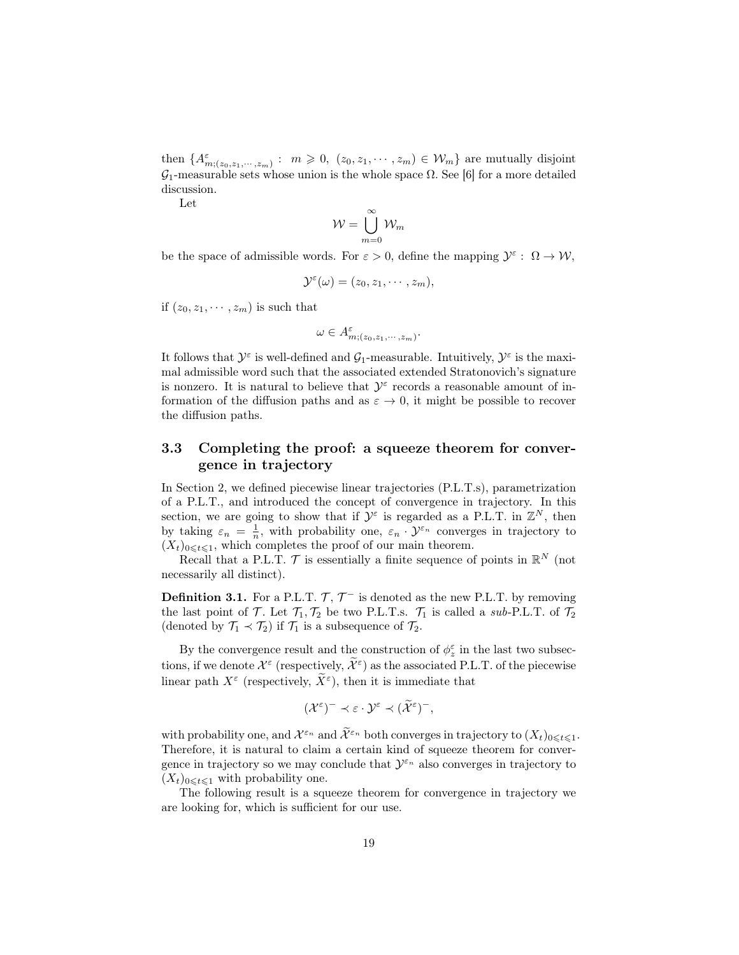then  $\{A_{m;(z_0,z_1,\dots,z_m)}^{\varepsilon} : m \geq 0, (z_0,z_1,\dots,z_m) \in \mathcal{W}_m\}$  are mutually disjoint  $\mathcal{G}_1$ -measurable sets whose union is the whole space  $\Omega$ . See [6] for a more detailed discussion.

Let

$$
\mathcal{W} = \bigcup_{m=0}^{\infty} \mathcal{W}_m
$$

be the space of admissible words. For  $\varepsilon > 0$ , define the mapping  $\mathcal{Y}^{\varepsilon}$ :  $\Omega \to \mathcal{W}$ ,

$$
\mathcal{Y}^{\varepsilon}(\omega)=(z_0,z_1,\cdots,z_m),
$$

if  $(z_0, z_1, \dots, z_m)$  is such that

$$
\omega \in A_{m;(z_0,z_1,\cdots,z_m)}^{\varepsilon}.
$$

It follows that  $\mathcal{Y}^{\varepsilon}$  is well-defined and  $\mathcal{G}_1$ -measurable. Intuitively,  $\mathcal{Y}^{\varepsilon}$  is the maximal admissible word such that the associated extended Stratonovich's signature is nonzero. It is natural to believe that  $\mathcal{Y}^{\varepsilon}$  records a reasonable amount of information of the diffusion paths and as  $\varepsilon \to 0$ , it might be possible to recover the diffusion paths.

### 3.3 Completing the proof: a squeeze theorem for convergence in trajectory

In Section 2, we defined piecewise linear trajectories (P.L.T.s), parametrization of a P.L.T., and introduced the concept of convergence in trajectory. In this section, we are going to show that if  $\mathcal{Y}^{\varepsilon}$  is regarded as a P.L.T. in  $\mathbb{Z}^{N}$ , then by taking  $\varepsilon_n = \frac{1}{n}$ , with probability one,  $\varepsilon_n \cdot \mathcal{Y}^{\varepsilon_n}$  converges in trajectory to  $(X_t)_{0\leq t\leq 1}$ , which completes the proof of our main theorem.

Recall that a P.L.T.  $\mathcal T$  is essentially a finite sequence of points in  $\mathbb R^N$  (not necessarily all distinct).

**Definition 3.1.** For a P.L.T.  $\mathcal{T}, \mathcal{T}^-$  is denoted as the new P.L.T. by removing the last point of  $\mathcal{T}$ . Let  $\mathcal{T}_1, \mathcal{T}_2$  be two P.L.T.s.  $\mathcal{T}_1$  is called a sub-P.L.T. of  $\mathcal{T}_2$ (denoted by  $\mathcal{T}_1 \prec \mathcal{T}_2$ ) if  $\mathcal{T}_1$  is a subsequence of  $\mathcal{T}_2$ .

By the convergence result and the construction of  $\phi_z^\varepsilon$  in the last two subsections, if we denote  $\mathcal{X}^{\varepsilon}$  (respectively,  $\widetilde{\mathcal{X}}^{\varepsilon}$ ) as the associated P.L.T. of the piecewise linear path  $X^{\varepsilon}$  (respectively,  $\widetilde{X}^{\varepsilon}$ ), then it is immediate that

$$
(\mathcal{X}^{\varepsilon})^{-} \prec \varepsilon \cdot \mathcal{Y}^{\varepsilon} \prec (\widetilde{\mathcal{X}}^{\varepsilon})^{-},
$$

with probability one, and  $\mathcal{X}^{\varepsilon_n}$  and  $\widetilde{\mathcal{X}}^{\varepsilon_n}$  both converges in trajectory to  $(X_t)_{0 \leq t \leq 1}$ . Therefore, it is natural to claim a certain kind of squeeze theorem for convergence in trajectory so we may conclude that  $\mathcal{Y}^{\varepsilon_n}$  also converges in trajectory to  $(X_t)_{0\leq t\leq 1}$  with probability one.

The following result is a squeeze theorem for convergence in trajectory we are looking for, which is sufficient for our use.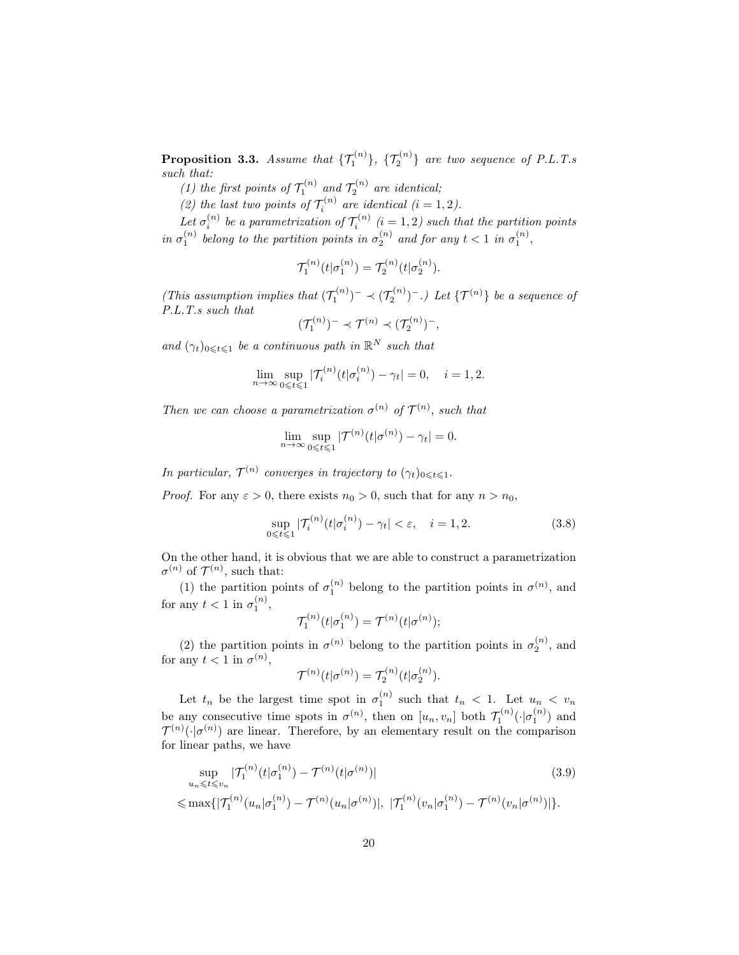**Proposition 3.3.** Assume that  $\{\mathcal{T}_1^{(n)}\}, \{\mathcal{T}_2^{(n)}\}$  are two sequence of P.L.T.s such that:

(1) the first points of  $\mathcal{T}_1^{(n)}$  and  $\mathcal{T}_2^{(n)}$  are identical;

(2) the last two points of  $\mathcal{T}_i^{(n)}$  are identical  $(i = 1, 2)$ .

Let  $\sigma_i^{(n)}$  be a parametrization of  $\mathcal{T}_i^{(n)}$   $(i = 1, 2)$  such that the partition points in  $\sigma_1^{(n)}$  belong to the partition points in  $\sigma_2^{(n)}$  and for any  $t < 1$  in  $\sigma_1^{(n)}$ ,

$$
\mathcal{T}_1^{(n)}(t|\sigma_1^{(n)}) = \mathcal{T}_2^{(n)}(t|\sigma_2^{(n)}).
$$

(This assumption implies that  $(\mathcal{T}_1^{(n)})^- \prec (\mathcal{T}_2^{(n)})^-$ .) Let  $\{\mathcal{T}^{(n)}\}$  be a sequence of P.L.T.s such that

$$
(\mathcal{T}_1^{(n)})^- \prec \mathcal{T}^{(n)} \prec (\mathcal{T}_2^{(n)})^-,
$$

and  $(\gamma_t)_{0 \leq t \leq 1}$  be a continuous path in  $\mathbb{R}^N$  such that

$$
\lim_{n \to \infty} \sup_{0 \le t \le 1} |\mathcal{T}_i^{(n)}(t|\sigma_i^{(n)}) - \gamma_t| = 0, \quad i = 1, 2.
$$

Then we can choose a parametrization  $\sigma^{(n)}$  of  $\mathcal{T}^{(n)}$ , such that

$$
\lim_{n \to \infty} \sup_{0 \leq t \leq 1} |\mathcal{T}^{(n)}(t|\sigma^{(n)}) - \gamma_t| = 0.
$$

In particular,  $\mathcal{T}^{(n)}$  converges in trajectory to  $(\gamma_t)_{0 \leqslant t \leqslant 1}$ .

*Proof.* For any  $\varepsilon > 0$ , there exists  $n_0 > 0$ , such that for any  $n > n_0$ ,

$$
\sup_{0 \le t \le 1} |\mathcal{T}_i^{(n)}(t|\sigma_i^{(n)}) - \gamma_t| < \varepsilon, \quad i = 1, 2. \tag{3.8}
$$

On the other hand, it is obvious that we are able to construct a parametrization  $\sigma^{(n)}$  of  $\mathcal{T}^{(n)}$ , such that:

(1) the partition points of  $\sigma_1^{(n)}$  belong to the partition points in  $\sigma^{(n)}$ , and for any  $t < 1$  in  $\sigma_1^{(n)}$ ,

$$
\mathcal{T}_1^{(n)}(t|\sigma_1^{(n)}) = \mathcal{T}^{(n)}(t|\sigma^{(n)});
$$

(2) the partition points in  $\sigma^{(n)}$  belong to the partition points in  $\sigma_2^{(n)}$ , and for any  $t < 1$  in  $\sigma^{(n)}$ ,

$$
\mathcal{T}^{(n)}(t|\sigma^{(n)}) = \mathcal{T}_2^{(n)}(t|\sigma_2^{(n)}).
$$

Let  $t_n$  be the largest time spot in  $\sigma_1^{(n)}$  such that  $t_n < 1$ . Let  $u_n < v_n$ be any consecutive time spots in  $\sigma^{(n)}$ , then on  $[u_n, v_n]$  both  $\mathcal{T}_1^{(n)}(\cdot | \sigma_1^{(n)})$  and  $\mathcal{T}^{(n)}(\cdot|\sigma^{(n)})$  are linear. Therefore, by an elementary result on the comparison for linear paths, we have

$$
\sup_{u_n \leqslant t \leqslant v_n} |\mathcal{T}_1^{(n)}(t|\sigma_1^{(n)}) - \mathcal{T}^{(n)}(t|\sigma_1^{(n)})|
$$
\n
$$
\leqslant \max\{|\mathcal{T}_1^{(n)}(u_n|\sigma_1^{(n)}) - \mathcal{T}^{(n)}(u_n|\sigma_1^{(n)})|, |\mathcal{T}_1^{(n)}(v_n|\sigma_1^{(n)}) - \mathcal{T}^{(n)}(v_n|\sigma_1^{(n)})|\}.
$$
\n(3.9)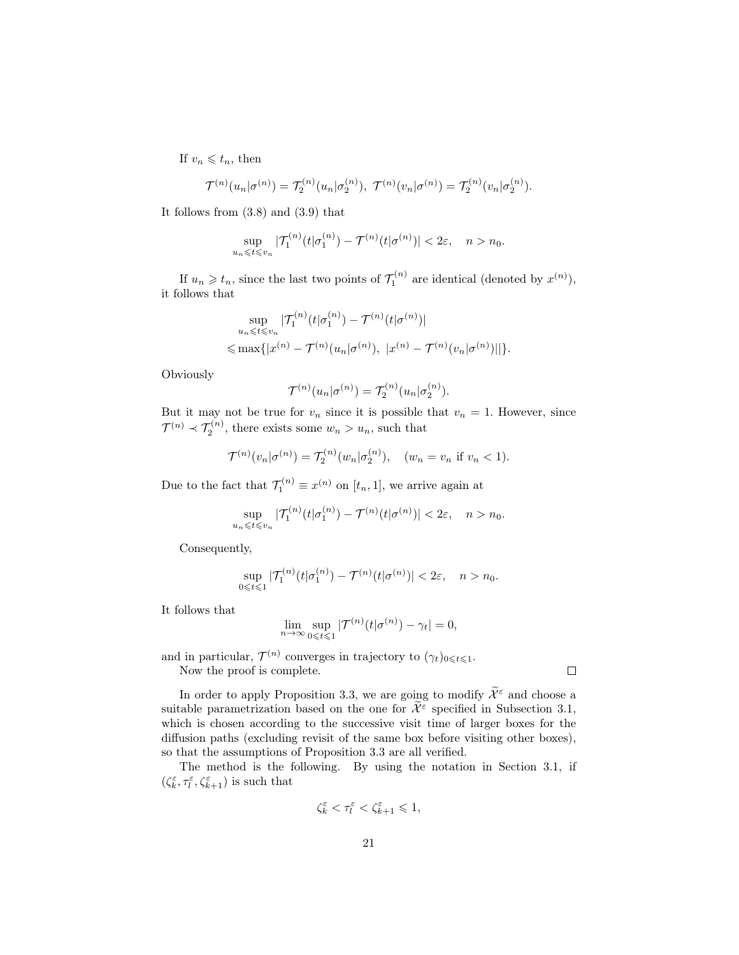If  $v_n \leqslant t_n$ , then

$$
\mathcal{T}^{(n)}(u_n|\sigma^{(n)}) = \mathcal{T}_2^{(n)}(u_n|\sigma^{(n)}_2), \ \mathcal{T}^{(n)}(v_n|\sigma^{(n)}) = \mathcal{T}_2^{(n)}(v_n|\sigma^{(n)}_2).
$$

It follows from (3.8) and (3.9) that

$$
\sup_{u_n \leqslant t \leqslant v_n} |\mathcal{T}_1^{(n)}(t|\sigma_1^{(n)}) - \mathcal{T}^{(n)}(t|\sigma^{(n)})| < 2\varepsilon, \quad n > n_0.
$$

If  $u_n \geqslant t_n$ , since the last two points of  $\mathcal{T}_1^{(n)}$  are identical (denoted by  $x^{(n)}$ ), it follows that

$$
\sup_{u_n \leq t \leq v_n} |\mathcal{T}_1^{(n)}(t|\sigma_1^{(n)}) - \mathcal{T}^{(n)}(t|\sigma^{(n)})|
$$
  
\$\leq \max\{|x^{(n)} - \mathcal{T}^{(n)}(u\_n|\sigma^{(n)}), |x^{(n)} - \mathcal{T}^{(n)}(v\_n|\sigma^{(n)})|]\}\$.

Obviously

$$
\mathcal{T}^{(n)}(u_n|\sigma^{(n)}) = \mathcal{T}_2^{(n)}(u_n|\sigma^{(n)}_2).
$$

But it may not be true for  $v_n$  since it is possible that  $v_n = 1$ . However, since  $\mathcal{T}^{(n)} \prec \mathcal{T}_2^{(n)}$ , there exists some  $w_n > u_n$ , such that

$$
\mathcal{T}^{(n)}(v_n|\sigma^{(n)}) = \mathcal{T}_2^{(n)}(w_n|\sigma^{(n)}_2), \quad (w_n = v_n \text{ if } v_n < 1).
$$

Due to the fact that  $\mathcal{T}_1^{(n)} \equiv x^{(n)}$  on  $[t_n, 1]$ , we arrive again at

$$
\sup_{u_n \leqslant t \leqslant v_n} |\mathcal{T}_1^{(n)}(t|\sigma_1^{(n)}) - \mathcal{T}^{(n)}(t|\sigma^{(n)})| < 2\varepsilon, \quad n > n_0.
$$

Consequently,

$$
\sup_{0\leqslant t\leqslant 1}|\mathcal{T}_1^{(n)}(t|\sigma_1^{(n)})-\mathcal{T}^{(n)}(t|\sigma^{(n)})|< 2\varepsilon,\quad n>n_0.
$$

It follows that

$$
\lim_{n \to \infty} \sup_{0 \leq t \leq 1} |\mathcal{T}^{(n)}(t|\sigma^{(n)}) - \gamma_t| = 0,
$$

and in particular,  $\mathcal{T}^{(n)}$  converges in trajectory to  $(\gamma_t)_{0 \leqslant t \leqslant 1}$ . Now the proof is complete.

In order to apply Proposition 3.3, we are going to modify  $\widetilde{\mathcal{X}}^{\varepsilon}$  and choose a suitable parametrization based on the one for  $\widetilde{\mathcal{X}}^{\varepsilon}$  specified in Subsection 3.1, which is chosen according to the successive visit time of larger boxes for the diffusion paths (excluding revisit of the same box before visiting other boxes), so that the assumptions of Proposition 3.3 are all verified.

The method is the following. By using the notation in Section 3.1, if  $(\zeta^\varepsilon_k, \tau^\varepsilon_l, \zeta^\varepsilon_{k+1})$  is such that

$$
\zeta_k^{\varepsilon} < \tau_l^{\varepsilon} < \zeta_{k+1}^{\varepsilon} \leq 1,
$$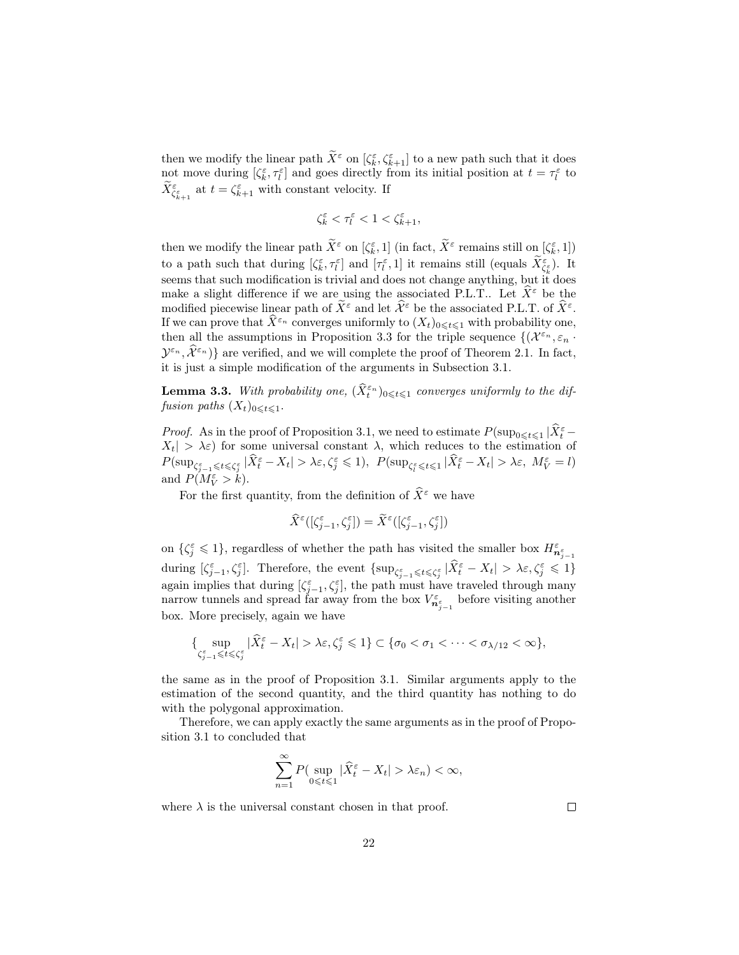then we modify the linear path  $\tilde{X}^{\varepsilon}$  on  $[\zeta^{\varepsilon}_{k}, \zeta^{\varepsilon}_{k+1}]$  to a new path such that it does not move during  $[\zeta_k^{\varepsilon}, \tau_l^{\varepsilon}]$  and goes directly from its initial position at  $t = \tau_l^{\varepsilon}$  to  $\widetilde{X}_{\zeta_{k+1}^{\varepsilon}}^{\varepsilon}$  at  $t = \zeta_{k+1}^{\varepsilon}$  with constant velocity. If

$$
\zeta_k^\varepsilon<\tau_l^\varepsilon<1<\zeta_{k+1}^\varepsilon,
$$

then we modify the linear path  $\tilde{X}^{\varepsilon}$  on  $[\zeta^{\varepsilon}_k, 1]$  (in fact,  $\tilde{X}^{\varepsilon}$  remains still on  $[\zeta^{\varepsilon}_k, 1]$ ) to a path such that during  $[\zeta_k^{\varepsilon}, \tau_l^{\varepsilon}]$  and  $[\tau_l^{\varepsilon}, 1]$  it remains still (equals  $\widetilde{X}_{\zeta_k^{\varepsilon}}^{\varepsilon}$ ). It seems that such modification is trivial and does not change anything, but it does make a slight difference if we are using the associated P.L.T.. Let  $\hat{X}^{\varepsilon}$  be the modified piecewise linear path of  $\widetilde{X}^{\varepsilon}$  and let  $\widehat{\mathcal{X}}^{\varepsilon}$  be the associated P.L.T. of  $\widehat{X}^{\varepsilon}$ . If we can prove that  $\hat{X}^{\varepsilon_n}$  converges uniformly to  $(X_t)_{0\leqslant t\leqslant1}$  with probability one, then all the assumptions in Proposition 3.3 for the triple sequence  $\{(\mathcal{X}^{\varepsilon_n}, \varepsilon_n\cdot\mathcal{Y}^{\varepsilon_n}]\}$  $(\mathcal{Y}^{\varepsilon_n}, \widehat{\mathcal{X}}^{\varepsilon_n})$  are verified, and we will complete the proof of Theorem 2.1. In fact, it is just a simple modification of the arguments in Subsection 3.1.

**Lemma 3.3.** With probability one,  $(\widehat{X}_t^{\varepsilon_n})_{0\leqslant t\leqslant 1}$  converges uniformly to the diffusion paths  $(X_t)_{0 \leq t \leq 1}$ .

*Proof.* As in the proof of Proposition 3.1, we need to estimate  $P(\sup_{0\leq t\leq 1}|\hat{X}_t^{\varepsilon}-\hat{X}_t^{\varepsilon})|$  $X_t$   $> \lambda \varepsilon$  for some universal constant  $\lambda$ , which reduces to the estimation of  $P(\sup_{\zeta_{j-1}^{\varepsilon} \leq t \leq \zeta_j^{\varepsilon}} |\widehat{X}_{t}^{\varepsilon} - X_t| > \lambda \varepsilon, \zeta_j^{\varepsilon} \leq 1), P(\sup_{\zeta_{l}^{\varepsilon} \leq t \leq 1} |\widehat{X}_{t}^{\varepsilon} - X_t| > \lambda \varepsilon, M_V^{\varepsilon} = l)$ and  $P(M_V^{\varepsilon} > k)$ .

For the first quantity, from the definition of  $\widehat{X}^{\varepsilon}$  we have

$$
\widehat{X}^{\varepsilon}([\zeta_{j-1}^{\varepsilon}, \zeta_{j}^{\varepsilon}]) = \widetilde{X}^{\varepsilon}([\zeta_{j-1}^{\varepsilon}, \zeta_{j}^{\varepsilon}])
$$

on  $\{\zeta_j^{\varepsilon} \leq 1\}$ , regardless of whether the path has visited the smaller box  $H_{\mathbf{n}_{j-1}^{\varepsilon}}^{\varepsilon}$ during  $\left[\zeta_{j-1}^{\varepsilon},\zeta_j^{\varepsilon}\right]$ . Therefore, the event  $\left\{\sup_{\zeta_{j-1}^{\varepsilon} \leq \xi_j^{\varepsilon}} |\widehat{X}_{t}^{\varepsilon} - X_t| > \lambda \varepsilon, \zeta_j^{\varepsilon} \leq 1\right\}$ again implies that during  $[\zeta_{j-1}^{\varepsilon}, \zeta_j^{\varepsilon}]$ , the path must have traveled through many narrow tunnels and spread far away from the box  $V_{n_{j-1}^{\varepsilon}}^{\varepsilon}$  before visiting another box. More precisely, again we have

$$
\{\sup_{\zeta_{j-1}^\varepsilon\leq t\leqslant \zeta_j^\varepsilon}|\widehat X_t^\varepsilon-X_t|>\lambda\varepsilon, \zeta_j^\varepsilon\leqslant 1\}\subset \{\sigma_0<\sigma_1<\cdots<\sigma_{\lambda/12}<\infty\},
$$

the same as in the proof of Proposition 3.1. Similar arguments apply to the estimation of the second quantity, and the third quantity has nothing to do with the polygonal approximation.

Therefore, we can apply exactly the same arguments as in the proof of Proposition 3.1 to concluded that

$$
\sum_{n=1}^{\infty} P\left(\sup_{0 \leq t \leq 1} |\widehat{X}_t^{\varepsilon} - X_t| > \lambda \varepsilon_n\right) < \infty,
$$

where  $\lambda$  is the universal constant chosen in that proof.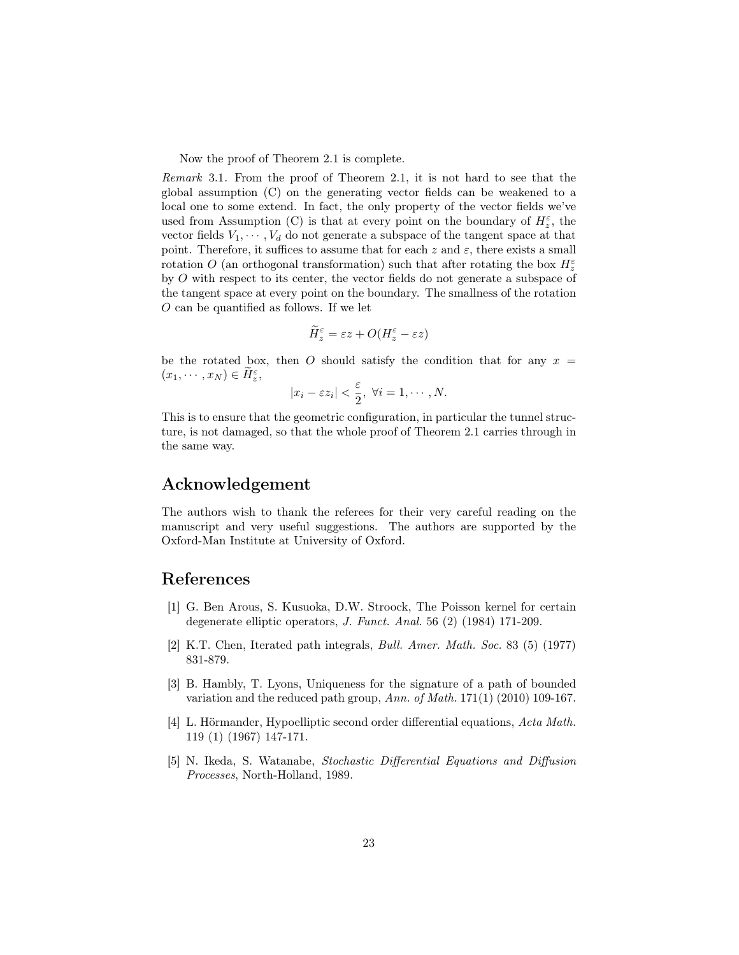Now the proof of Theorem 2.1 is complete.

Remark 3.1. From the proof of Theorem 2.1, it is not hard to see that the global assumption (C) on the generating vector fields can be weakened to a local one to some extend. In fact, the only property of the vector fields we've used from Assumption (C) is that at every point on the boundary of  $H_z^{\varepsilon}$ , the vector fields  $V_1, \dots, V_d$  do not generate a subspace of the tangent space at that point. Therefore, it suffices to assume that for each z and  $\varepsilon$ , there exists a small rotation O (an orthogonal transformation) such that after rotating the box  $H_z^{\varepsilon}$ by O with respect to its center, the vector fields do not generate a subspace of the tangent space at every point on the boundary. The smallness of the rotation O can be quantified as follows. If we let

$$
\widetilde{H}_{z}^{\varepsilon} = \varepsilon z + O(H_{z}^{\varepsilon} - \varepsilon z)
$$

be the rotated box, then O should satisfy the condition that for any  $x =$  $(x_1, \cdots, x_N) \in \widetilde{H}_{z}^{\varepsilon},$ 

$$
|x_i - \varepsilon z_i| < \frac{\varepsilon}{2}, \ \forall i = 1, \cdots, N.
$$

This is to ensure that the geometric configuration, in particular the tunnel structure, is not damaged, so that the whole proof of Theorem 2.1 carries through in the same way.

## Acknowledgement

The authors wish to thank the referees for their very careful reading on the manuscript and very useful suggestions. The authors are supported by the Oxford-Man Institute at University of Oxford.

# References

- [1] G. Ben Arous, S. Kusuoka, D.W. Stroock, The Poisson kernel for certain degenerate elliptic operators, J. Funct. Anal. 56 (2) (1984) 171-209.
- [2] K.T. Chen, Iterated path integrals, Bull. Amer. Math. Soc. 83 (5) (1977) 831-879.
- [3] B. Hambly, T. Lyons, Uniqueness for the signature of a path of bounded variation and the reduced path group, Ann. of Math. 171(1) (2010) 109-167.
- [4] L. Hörmander, Hypoelliptic second order differential equations, Acta Math. 119 (1) (1967) 147-171.
- [5] N. Ikeda, S. Watanabe, Stochastic Differential Equations and Diffusion Processes, North-Holland, 1989.